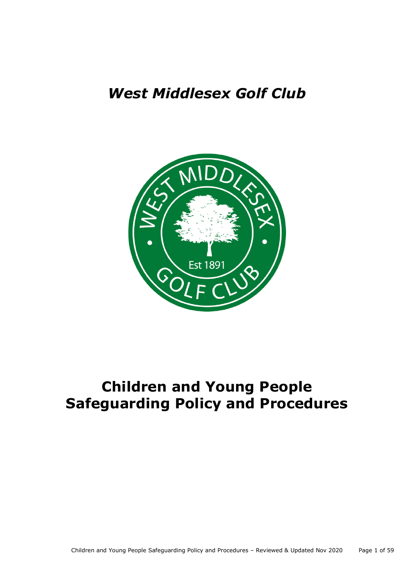# *West Middlesex Golf Club*



# **Children and Young People Safeguarding Policy and Procedures**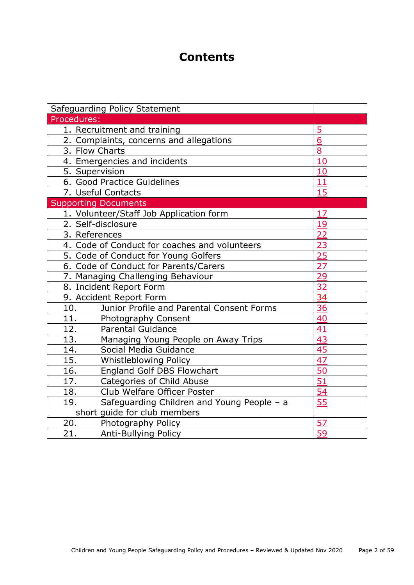# **Contents**

| Safeguarding Policy Statement                     |                |
|---------------------------------------------------|----------------|
| Procedures:                                       |                |
| 1. Recruitment and training                       | $\overline{5}$ |
| 2. Complaints, concerns and allegations           | 6              |
| 3. Flow Charts                                    | 8              |
| 4. Emergencies and incidents                      | 10             |
| 5. Supervision                                    | 10             |
| 6. Good Practice Guidelines                       | 11             |
| 7. Useful Contacts                                | 15             |
| <b>Supporting Documents</b>                       |                |
| 1. Volunteer/Staff Job Application form           | 17             |
| 2. Self-disclosure                                | 19             |
| 3. References                                     | 22             |
| 4. Code of Conduct for coaches and volunteers     | 23             |
| 5. Code of Conduct for Young Golfers              | 25             |
| 6. Code of Conduct for Parents/Carers             | 27             |
| 7. Managing Challenging Behaviour                 | 29             |
| 8. Incident Report Form                           | 32             |
| 9. Accident Report Form                           | 34             |
| Junior Profile and Parental Consent Forms<br>10.  | 36             |
| 11.<br><b>Photography Consent</b>                 | 40             |
| 12.<br><b>Parental Guidance</b>                   | 41             |
| 13.<br>Managing Young People on Away Trips        | 43             |
| 14.<br>Social Media Guidance                      | 45             |
| 15.<br>Whistleblowing Policy                      | 47             |
| 16.<br><b>England Golf DBS Flowchart</b>          | 50             |
| 17.<br>Categories of Child Abuse                  | 51             |
| Club Welfare Officer Poster<br>18.                | 54             |
| 19.<br>Safeguarding Children and Young People - a | 55             |
| short guide for club members                      |                |
| 20.<br>Photography Policy                         | 57             |
| 21.<br>Anti-Bullying Policy                       | 59             |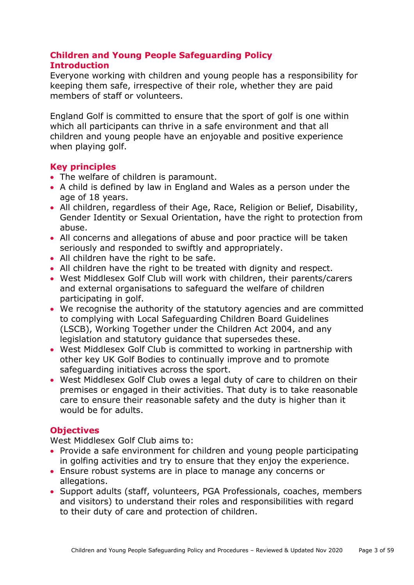# **Children and Young People Safeguarding Policy Introduction**

Everyone working with children and young people has a responsibility for keeping them safe, irrespective of their role, whether they are paid members of staff or volunteers.

England Golf is committed to ensure that the sport of golf is one within which all participants can thrive in a safe environment and that all children and young people have an enjoyable and positive experience when playing golf.

# **Key principles**

- The welfare of children is paramount.
- A child is defined by law in England and Wales as a person under the age of 18 years.
- All children, regardless of their Age, Race, Religion or Belief, Disability, Gender Identity or Sexual Orientation, have the right to protection from abuse.
- All concerns and allegations of abuse and poor practice will be taken seriously and responded to swiftly and appropriately.
- All children have the right to be safe.
- All children have the right to be treated with dignity and respect.
- West Middlesex Golf Club will work with children, their parents/carers and external organisations to safeguard the welfare of children participating in golf.
- We recognise the authority of the statutory agencies and are committed to complying with Local Safeguarding Children Board Guidelines (LSCB), Working Together under the Children Act 2004, and any legislation and statutory guidance that supersedes these.
- West Middlesex Golf Club is committed to working in partnership with other key UK Golf Bodies to continually improve and to promote safeguarding initiatives across the sport.
- West Middlesex Golf Club owes a legal duty of care to children on their premises or engaged in their activities. That duty is to take reasonable care to ensure their reasonable safety and the duty is higher than it would be for adults.

#### **Objectives**

West Middlesex Golf Club aims to:

- Provide a safe environment for children and young people participating in golfing activities and try to ensure that they enjoy the experience.
- Ensure robust systems are in place to manage any concerns or allegations.
- Support adults (staff, volunteers, PGA Professionals, coaches, members and visitors) to understand their roles and responsibilities with regard to their duty of care and protection of children.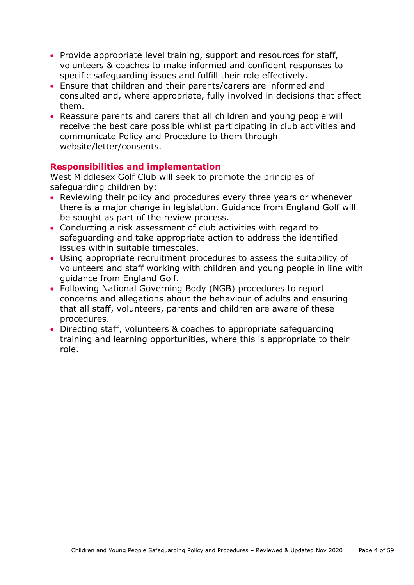- Provide appropriate level training, support and resources for staff, volunteers & coaches to make informed and confident responses to specific safeguarding issues and fulfill their role effectively.
- Ensure that children and their parents/carers are informed and consulted and, where appropriate, fully involved in decisions that affect them.
- Reassure parents and carers that all children and young people will receive the best care possible whilst participating in club activities and communicate Policy and Procedure to them through website/letter/consents.

#### **Responsibilities and implementation**

West Middlesex Golf Club will seek to promote the principles of safeguarding children by:

- Reviewing their policy and procedures every three years or whenever there is a major change in legislation. Guidance from England Golf will be sought as part of the review process.
- Conducting a risk assessment of club activities with regard to safeguarding and take appropriate action to address the identified issues within suitable timescales.
- Using appropriate recruitment procedures to assess the suitability of volunteers and staff working with children and young people in line with guidance from England Golf.
- Following National Governing Body (NGB) procedures to report concerns and allegations about the behaviour of adults and ensuring that all staff, volunteers, parents and children are aware of these procedures.
- Directing staff, volunteers & coaches to appropriate safeguarding training and learning opportunities, where this is appropriate to their role.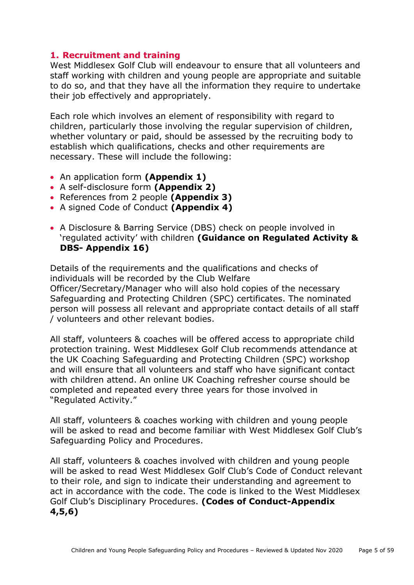# <span id="page-4-0"></span>**1. Recruitment and training**

West Middlesex Golf Club will endeavour to ensure that all volunteers and staff working with children and young people are appropriate and suitable to do so, and that they have all the information they require to undertake their job effectively and appropriately.

Each role which involves an element of responsibility with regard to children, particularly those involving the regular supervision of children, whether voluntary or paid, should be assessed by the recruiting body to establish which qualifications, checks and other requirements are necessary. These will include the following:

- An application form **(Appendix 1)**
- A self-disclosure form **(Appendix 2)**
- References from 2 people **(Appendix 3)**
- A signed Code of Conduct **(Appendix 4)**
- A Disclosure & Barring Service (DBS) check on people involved in 'regulated activity' with children **(Guidance on Regulated Activity & DBS- Appendix 16)**

Details of the requirements and the qualifications and checks of individuals will be recorded by the Club Welfare Officer/Secretary/Manager who will also hold copies of the necessary Safeguarding and Protecting Children (SPC) certificates. The nominated person will possess all relevant and appropriate contact details of all staff / volunteers and other relevant bodies.

All staff, volunteers & coaches will be offered access to appropriate child protection training. West Middlesex Golf Club recommends attendance at the UK Coaching Safeguarding and Protecting Children (SPC) workshop and will ensure that all volunteers and staff who have significant contact with children attend. An online UK Coaching refresher course should be completed and repeated every three years for those involved in "Regulated Activity."

All staff, volunteers & coaches working with children and young people will be asked to read and become familiar with West Middlesex Golf Club's Safeguarding Policy and Procedures.

All staff, volunteers & coaches involved with children and young people will be asked to read West Middlesex Golf Club's Code of Conduct relevant to their role, and sign to indicate their understanding and agreement to act in accordance with the code. The code is linked to the West Middlesex Golf Club's Disciplinary Procedures. **(Codes of Conduct-Appendix 4,5,6)**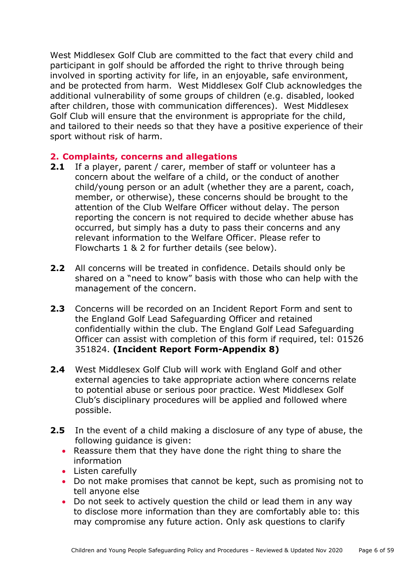West Middlesex Golf Club are committed to the fact that every child and participant in golf should be afforded the right to thrive through being involved in sporting activity for life, in an enjoyable, safe environment, and be protected from harm. West Middlesex Golf Club acknowledges the additional vulnerability of some groups of children (e.g. disabled, looked after children, those with communication differences). West Middlesex Golf Club will ensure that the environment is appropriate for the child, and tailored to their needs so that they have a positive experience of their sport without risk of harm.

#### <span id="page-5-0"></span>**2. Complaints, concerns and allegations**

- **2.1** If a player, parent / carer, member of staff or volunteer has a concern about the welfare of a child, or the conduct of another child/young person or an adult (whether they are a parent, coach, member, or otherwise), these concerns should be brought to the attention of the Club Welfare Officer without delay. The person reporting the concern is not required to decide whether abuse has occurred, but simply has a duty to pass their concerns and any relevant information to the Welfare Officer. Please refer to Flowcharts 1 & 2 for further details (see below).
- **2.2** All concerns will be treated in confidence. Details should only be shared on a "need to know" basis with those who can help with the management of the concern.
- **2.3** Concerns will be recorded on an Incident Report Form and sent to the England Golf Lead Safeguarding Officer and retained confidentially within the club. The England Golf Lead Safeguarding Officer can assist with completion of this form if required, tel: 01526 351824. **(Incident Report Form-Appendix 8)**
- **2.4** West Middlesex Golf Club will work with England Golf and other external agencies to take appropriate action where concerns relate to potential abuse or serious poor practice. West Middlesex Golf Club's disciplinary procedures will be applied and followed where possible.
- **2.5** In the event of a child making a disclosure of any type of abuse, the following guidance is given:
	- Reassure them that they have done the right thing to share the information
	- Listen carefully
	- Do not make promises that cannot be kept, such as promising not to tell anyone else
	- Do not seek to actively question the child or lead them in any way to disclose more information than they are comfortably able to: this may compromise any future action. Only ask questions to clarify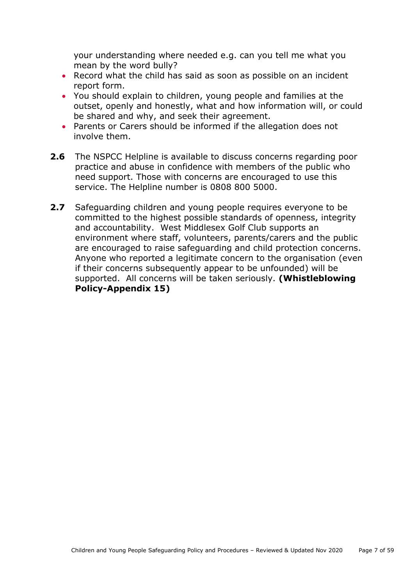your understanding where needed e.g. can you tell me what you mean by the word bully?

- Record what the child has said as soon as possible on an incident report form.
- You should explain to children, young people and families at the outset, openly and honestly, what and how information will, or could be shared and why, and seek their agreement.
- Parents or Carers should be informed if the allegation does not involve them.
- **2.6** The NSPCC Helpline is available to discuss concerns regarding poor practice and abuse in confidence with members of the public who need support. Those with concerns are encouraged to use this service. The Helpline number is 0808 800 5000.
- **2.7** Safeguarding children and young people requires everyone to be committed to the highest possible standards of openness, integrity and accountability. West Middlesex Golf Club supports an environment where staff, volunteers, parents/carers and the public are encouraged to raise safeguarding and child protection concerns. Anyone who reported a legitimate concern to the organisation (even if their concerns subsequently appear to be unfounded) will be supported. All concerns will be taken seriously. **(Whistleblowing Policy-Appendix 15)**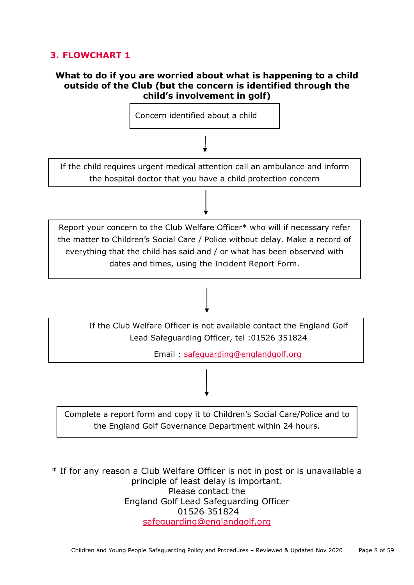# **3. FLOWCHART 1**

#### **What to do if you are worried about what is happening to a child outside of the Club (but the concern is identified through the child's involvement in golf)**



\* If for any reason a Club Welfare Officer is not in post or is unavailable a principle of least delay is important. Please contact the England Golf Lead Safeguarding Officer 01526 351824 [safeguarding@englandgolf.org](mailto:safeguarding@englandgolf.org)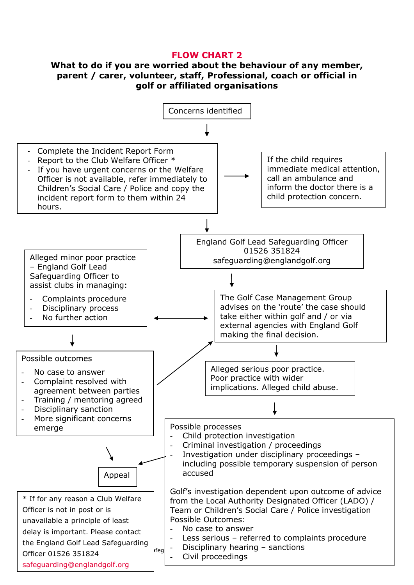#### **FLOW CHART 2**

#### **What to do if you are worried about the behaviour of any member, parent / carer, volunteer, staff, Professional, coach or official in golf or affiliated organisations**

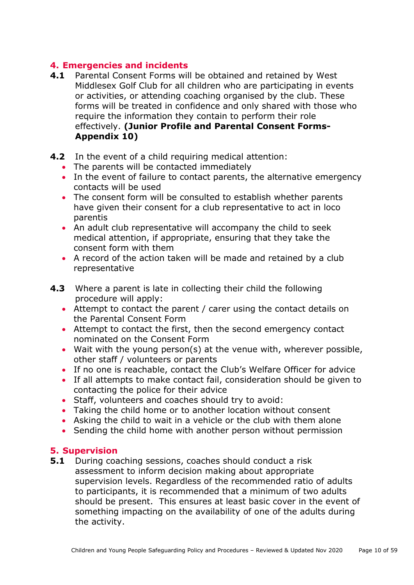# <span id="page-9-0"></span>**4. Emergencies and incidents**

- **4.1** Parental Consent Forms will be obtained and retained by West Middlesex Golf Club for all children who are participating in events or activities, or attending coaching organised by the club. These forms will be treated in confidence and only shared with those who require the information they contain to perform their role effectively. **(Junior Profile and Parental Consent Forms-Appendix 10)**
- **4.2** In the event of a child requiring medical attention:
	- The parents will be contacted immediately
	- In the event of failure to contact parents, the alternative emergency contacts will be used
	- The consent form will be consulted to establish whether parents have given their consent for a club representative to act in loco parentis
	- An adult club representative will accompany the child to seek medical attention, if appropriate, ensuring that they take the consent form with them
	- A record of the action taken will be made and retained by a club representative
- **4.3** Where a parent is late in collecting their child the following procedure will apply:
	- Attempt to contact the parent / carer using the contact details on the Parental Consent Form
	- Attempt to contact the first, then the second emergency contact nominated on the Consent Form
	- Wait with the young person(s) at the venue with, wherever possible, other staff / volunteers or parents
	- If no one is reachable, contact the Club's Welfare Officer for advice
	- If all attempts to make contact fail, consideration should be given to contacting the police for their advice
	- Staff, volunteers and coaches should try to avoid:
	- Taking the child home or to another location without consent
	- Asking the child to wait in a vehicle or the club with them alone
	- Sending the child home with another person without permission

#### **5. Supervision**

**5.1** During coaching sessions, coaches should conduct a risk assessment to inform decision making about appropriate supervision levels. Regardless of the recommended ratio of adults to participants, it is recommended that a minimum of two adults should be present. This ensures at least basic cover in the event of something impacting on the availability of one of the adults during the activity.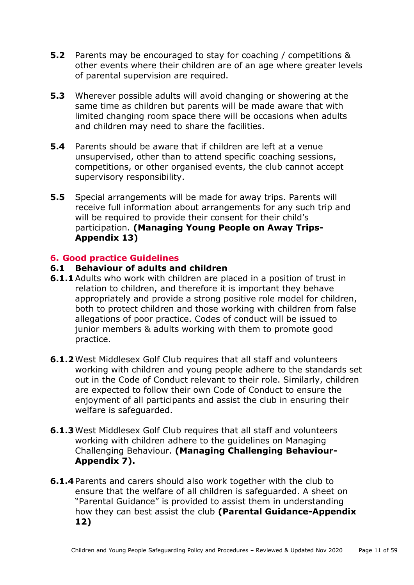- **5.2** Parents may be encouraged to stay for coaching / competitions & other events where their children are of an age where greater levels of parental supervision are required.
- **5.3** Wherever possible adults will avoid changing or showering at the same time as children but parents will be made aware that with limited changing room space there will be occasions when adults and children may need to share the facilities.
- **5.4** Parents should be aware that if children are left at a venue unsupervised, other than to attend specific coaching sessions, competitions, or other organised events, the club cannot accept supervisory responsibility.
- **5.5** Special arrangements will be made for away trips. Parents will receive full information about arrangements for any such trip and will be required to provide their consent for their child's participation. **(Managing Young People on Away Trips-Appendix 13)**

#### <span id="page-10-0"></span>**6. Good practice Guidelines**

- **6.1 Behaviour of adults and children**
- **6.1.1** Adults who work with children are placed in a position of trust in relation to children, and therefore it is important they behave appropriately and provide a strong positive role model for children, both to protect children and those working with children from false allegations of poor practice. Codes of conduct will be issued to junior members & adults working with them to promote good practice.
- **6.1.2**West Middlesex Golf Club requires that all staff and volunteers working with children and young people adhere to the standards set out in the Code of Conduct relevant to their role. Similarly, children are expected to follow their own Code of Conduct to ensure the enjoyment of all participants and assist the club in ensuring their welfare is safeguarded.
- **6.1.3**West Middlesex Golf Club requires that all staff and volunteers working with children adhere to the guidelines on Managing Challenging Behaviour. **(Managing Challenging Behaviour-Appendix 7).**
- **6.1.4** Parents and carers should also work together with the club to ensure that the welfare of all children is safeguarded. A sheet on "Parental Guidance" is provided to assist them in understanding how they can best assist the club **(Parental Guidance-Appendix 12)**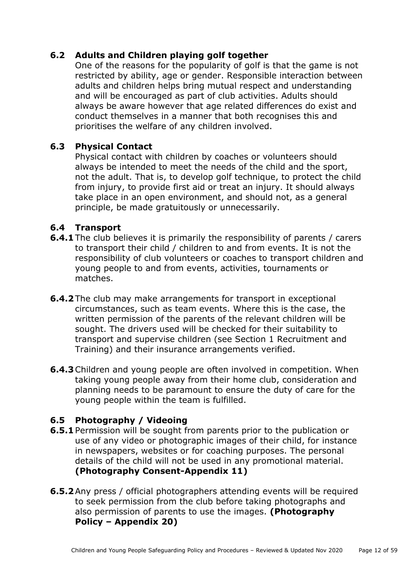# **6.2 Adults and Children playing golf together**

One of the reasons for the popularity of golf is that the game is not restricted by ability, age or gender. Responsible interaction between adults and children helps bring mutual respect and understanding and will be encouraged as part of club activities. Adults should always be aware however that age related differences do exist and conduct themselves in a manner that both recognises this and prioritises the welfare of any children involved.

#### **6.3 Physical Contact**

Physical contact with children by coaches or volunteers should always be intended to meet the needs of the child and the sport, not the adult. That is, to develop golf technique, to protect the child from injury, to provide first aid or treat an injury. It should always take place in an open environment, and should not, as a general principle, be made gratuitously or unnecessarily.

#### **6.4 Transport**

- **6.4.1** The club believes it is primarily the responsibility of parents / carers to transport their child / children to and from events. It is not the responsibility of club volunteers or coaches to transport children and young people to and from events, activities, tournaments or matches.
- **6.4.2** The club may make arrangements for transport in exceptional circumstances, such as team events. Where this is the case, the written permission of the parents of the relevant children will be sought. The drivers used will be checked for their suitability to transport and supervise children (see Section 1 Recruitment and Training) and their insurance arrangements verified.
- **6.4.3** Children and young people are often involved in competition. When taking young people away from their home club, consideration and planning needs to be paramount to ensure the duty of care for the young people within the team is fulfilled.

#### **6.5 Photography / Videoing**

- **6.5.1** Permission will be sought from parents prior to the publication or use of any video or photographic images of their child, for instance in newspapers, websites or for coaching purposes. The personal details of the child will not be used in any promotional material. **(Photography Consent-Appendix 11)**
- **6.5.2** Any press / official photographers attending events will be required to seek permission from the club before taking photographs and also permission of parents to use the images. **(Photography Policy – Appendix 20)**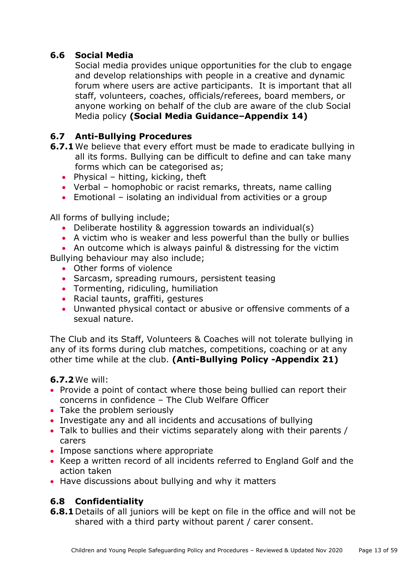# **6.6 Social Media**

Social media provides unique opportunities for the club to engage and develop relationships with people in a creative and dynamic forum where users are active participants. It is important that all staff, volunteers, coaches, officials/referees, board members, or anyone working on behalf of the club are aware of the club Social Media policy **(Social Media Guidance–Appendix 14)**

# **6.7 Anti-Bullying Procedures**

- **6.7.1** We believe that every effort must be made to eradicate bullying in all its forms. Bullying can be difficult to define and can take many forms which can be categorised as;
	- Physical hitting, kicking, theft
	- Verbal homophobic or racist remarks, threats, name calling
	- Emotional isolating an individual from activities or a group

All forms of bullying include;

- Deliberate hostility & aggression towards an individual(s)
- A victim who is weaker and less powerful than the bully or bullies
- An outcome which is always painful & distressing for the victim

Bullying behaviour may also include;

- Other forms of violence
- Sarcasm, spreading rumours, persistent teasing
- Tormenting, ridiculing, humiliation
- Racial taunts, graffiti, gestures
- Unwanted physical contact or abusive or offensive comments of a sexual nature.

The Club and its Staff, Volunteers & Coaches will not tolerate bullying in any of its forms during club matches, competitions, coaching or at any other time while at the club. **(Anti-Bullying Policy -Appendix 21)**

#### **6.7.2**We will:

- Provide a point of contact where those being bullied can report their concerns in confidence – The Club Welfare Officer
- Take the problem seriously
- Investigate any and all incidents and accusations of bullying
- Talk to bullies and their victims separately along with their parents / carers
- Impose sanctions where appropriate
- Keep a written record of all incidents referred to England Golf and the action taken
- Have discussions about bullying and why it matters

# **6.8 Confidentiality**

**6.8.1**Details of all juniors will be kept on file in the office and will not be shared with a third party without parent / carer consent.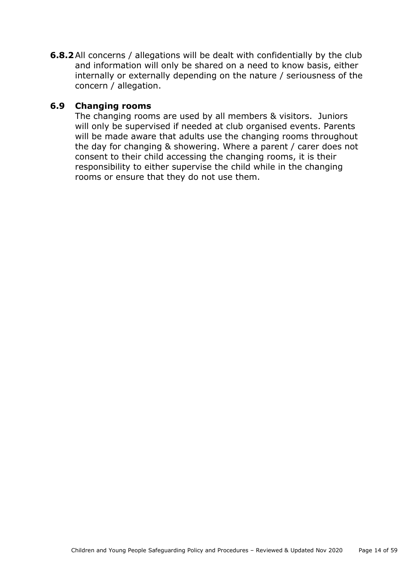**6.8.2** All concerns / allegations will be dealt with confidentially by the club and information will only be shared on a need to know basis, either internally or externally depending on the nature / seriousness of the concern / allegation.

## **6.9 Changing rooms**

The changing rooms are used by all members & visitors. Juniors will only be supervised if needed at club organised events. Parents will be made aware that adults use the changing rooms throughout the day for changing & showering. Where a parent / carer does not consent to their child accessing the changing rooms, it is their responsibility to either supervise the child while in the changing rooms or ensure that they do not use them.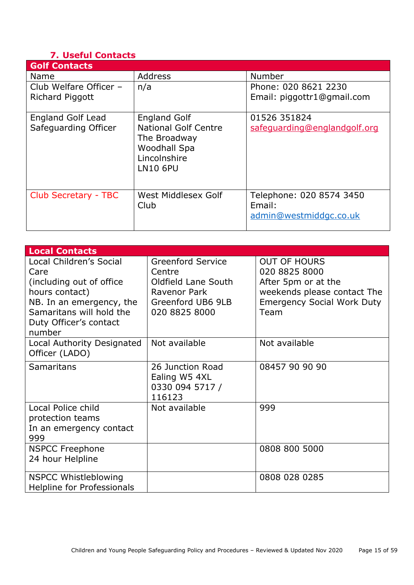# <span id="page-14-0"></span>**7. Useful Contacts**

| <b>Golf Contacts</b>                             |                                                                                                                              |                                                              |
|--------------------------------------------------|------------------------------------------------------------------------------------------------------------------------------|--------------------------------------------------------------|
| <b>Name</b>                                      | <b>Address</b>                                                                                                               | Number                                                       |
| Club Welfare Officer -<br>Richard Piggott        | n/a                                                                                                                          | Phone: 020 8621 2230<br>Email: piggottr1@gmail.com           |
| <b>England Golf Lead</b><br>Safeguarding Officer | <b>England Golf</b><br><b>National Golf Centre</b><br>The Broadway<br><b>Woodhall Spa</b><br>Lincolnshire<br><b>LN10 6PU</b> | 01526 351824<br>safeguarding@englandgolf.org                 |
| Club Secretary - TBC                             | West Middlesex Golf<br>Club                                                                                                  | Telephone: 020 8574 3450<br>Email:<br>admin@westmiddgc.co.uk |

| <b>Local Contacts</b>                                                                                                                                                      |                                                                                                                 |                                                                                                                                         |
|----------------------------------------------------------------------------------------------------------------------------------------------------------------------------|-----------------------------------------------------------------------------------------------------------------|-----------------------------------------------------------------------------------------------------------------------------------------|
| Local Children's Social<br>Care<br>(including out of office)<br>hours contact)<br>NB. In an emergency, the<br>Samaritans will hold the<br>Duty Officer's contact<br>number | <b>Greenford Service</b><br>Centre<br>Oldfield Lane South<br>Ravenor Park<br>Greenford UB6 9LB<br>020 8825 8000 | <b>OUT OF HOURS</b><br>020 8825 8000<br>After 5pm or at the<br>weekends please contact The<br><b>Emergency Social Work Duty</b><br>Team |
| Local Authority Designated<br>Officer (LADO)                                                                                                                               | Not available                                                                                                   | Not available                                                                                                                           |
| <b>Samaritans</b>                                                                                                                                                          | 26 Junction Road<br>Ealing W5 4XL<br>0330 094 5717 /<br>116123                                                  | 08457 90 90 90                                                                                                                          |
| Local Police child<br>protection teams<br>In an emergency contact<br>999                                                                                                   | Not available                                                                                                   | 999                                                                                                                                     |
| <b>NSPCC Freephone</b><br>24 hour Helpline                                                                                                                                 |                                                                                                                 | 0808 800 5000                                                                                                                           |
| <b>NSPCC Whistleblowing</b><br>Helpline for Professionals                                                                                                                  |                                                                                                                 | 0808 028 0285                                                                                                                           |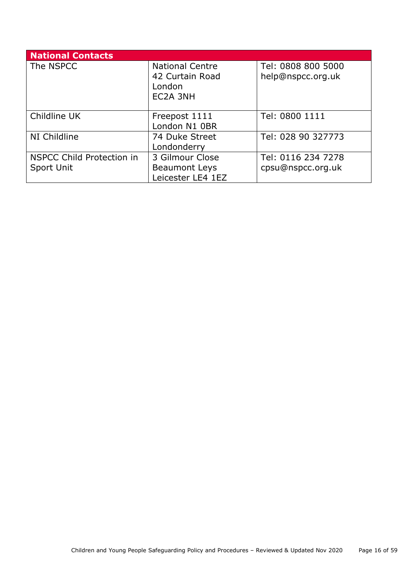<span id="page-15-0"></span>

| <b>National Contacts</b>         |                        |                    |
|----------------------------------|------------------------|--------------------|
| The NSPCC                        | <b>National Centre</b> | Tel: 0808 800 5000 |
|                                  | 42 Curtain Road        | help@nspcc.org.uk  |
|                                  | London                 |                    |
|                                  | EC2A 3NH               |                    |
|                                  |                        |                    |
| Childline UK                     | Freepost 1111          | Tel: 0800 1111     |
|                                  | London N1 OBR          |                    |
| NI Childline                     | 74 Duke Street         | Tel: 028 90 327773 |
|                                  | Londonderry            |                    |
| <b>NSPCC Child Protection in</b> | 3 Gilmour Close        | Tel: 0116 234 7278 |
| Sport Unit                       | <b>Beaumont Leys</b>   | cpsu@nspcc.org.uk  |
|                                  | Leicester LE4 1EZ      |                    |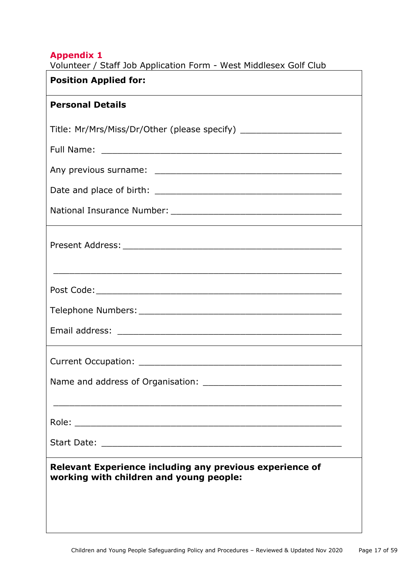|  |  | Volunteer / Staff Job Application Form - West Middlesex Golf Club |  |
|--|--|-------------------------------------------------------------------|--|
|--|--|-------------------------------------------------------------------|--|

| <b>Position Applied for:</b>                                                                        |
|-----------------------------------------------------------------------------------------------------|
| <b>Personal Details</b>                                                                             |
| Title: Mr/Mrs/Miss/Dr/Other (please specify) ___________________________________                    |
|                                                                                                     |
|                                                                                                     |
|                                                                                                     |
|                                                                                                     |
|                                                                                                     |
|                                                                                                     |
|                                                                                                     |
|                                                                                                     |
|                                                                                                     |
|                                                                                                     |
|                                                                                                     |
|                                                                                                     |
| Relevant Experience including any previous experience of<br>working with children and young people: |
|                                                                                                     |
|                                                                                                     |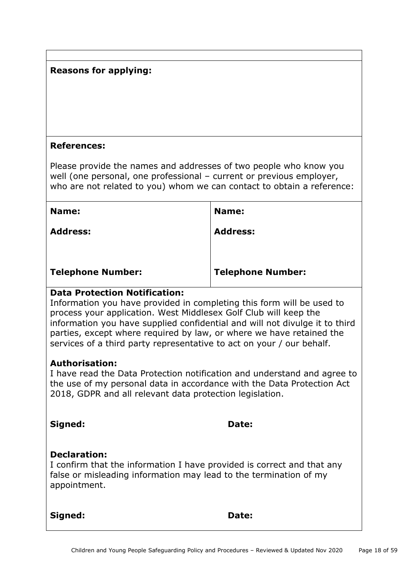# **Reasons for applying:**

#### **References:**

Please provide the names and addresses of two people who know you well (one personal, one professional – current or previous employer, who are not related to you) whom we can contact to obtain a reference:

| Name:                    | Name:                    |
|--------------------------|--------------------------|
| <b>Address:</b>          | <b>Address:</b>          |
|                          |                          |
| <b>Telephone Number:</b> | <b>Telephone Number:</b> |

#### **Data Protection Notification:**

Information you have provided in completing this form will be used to process your application. West Middlesex Golf Club will keep the information you have supplied confidential and will not divulge it to third parties, except where required by law, or where we have retained the services of a third party representative to act on your / our behalf.

#### **Authorisation:**

I have read the Data Protection notification and understand and agree to the use of my personal data in accordance with the Data Protection Act 2018, GDPR and all relevant data protection legislation.

**Signed: Date:** 

#### **Declaration:**

I confirm that the information I have provided is correct and that any false or misleading information may lead to the termination of my appointment.

**Signed: Date:**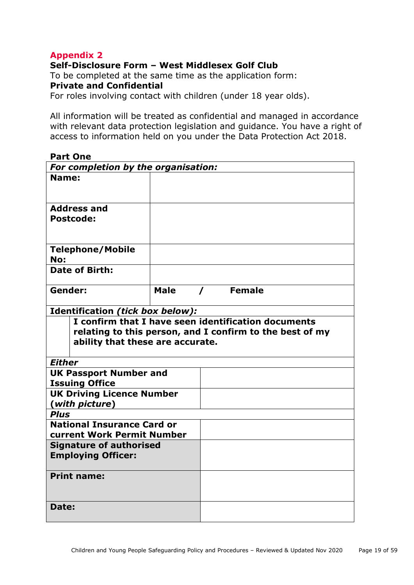<span id="page-18-0"></span>**Self-Disclosure Form – West Middlesex Golf Club**

To be completed at the same time as the application form: **Private and Confidential** 

For roles involving contact with children (under 18 year olds).

All information will be treated as confidential and managed in accordance with relevant data protection legislation and guidance. You have a right of access to information held on you under the Data Protection Act 2018.

| <b>Part One</b>                                          |             |          |                       |  |
|----------------------------------------------------------|-------------|----------|-----------------------|--|
| For completion by the organisation:                      |             |          |                       |  |
| Name:                                                    |             |          |                       |  |
|                                                          |             |          |                       |  |
| <b>Address and</b>                                       |             |          |                       |  |
| <b>Postcode:</b>                                         |             |          |                       |  |
|                                                          |             |          |                       |  |
|                                                          |             |          |                       |  |
| <b>Telephone/Mobile</b>                                  |             |          |                       |  |
| No:                                                      |             |          |                       |  |
| <b>Date of Birth:</b>                                    |             |          |                       |  |
|                                                          |             |          |                       |  |
| Gender:                                                  | <b>Male</b> | $\prime$ | <b>Example</b> Female |  |
| Identification (tick box below):                         |             |          |                       |  |
|                                                          |             |          |                       |  |
| I confirm that I have seen identification documents      |             |          |                       |  |
| relating to this person, and I confirm to the best of my |             |          |                       |  |
|                                                          |             |          |                       |  |
| ability that these are accurate.                         |             |          |                       |  |
| <b>Either</b>                                            |             |          |                       |  |
|                                                          |             |          |                       |  |
| <b>UK Passport Number and</b><br><b>Issuing Office</b>   |             |          |                       |  |
| <b>UK Driving Licence Number</b>                         |             |          |                       |  |
| (with picture)                                           |             |          |                       |  |
| <b>Plus</b>                                              |             |          |                       |  |
| <b>National Insurance Card or</b>                        |             |          |                       |  |
| <b>current Work Permit Number</b>                        |             |          |                       |  |
| <b>Signature of authorised</b>                           |             |          |                       |  |
| <b>Employing Officer:</b>                                |             |          |                       |  |
|                                                          |             |          |                       |  |
| <b>Print name:</b>                                       |             |          |                       |  |
|                                                          |             |          |                       |  |
| Date:                                                    |             |          |                       |  |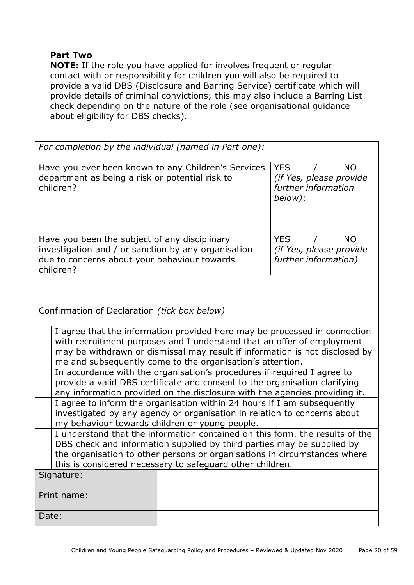#### **Part Two**

**NOTE:** If the role you have applied for involves frequent or regular contact with or responsibility for children you will also be required to provide a valid DBS (Disclosure and Barring Service) certificate which will provide details of criminal convictions; this may also include a Barring List check depending on the nature of the role (see organisational guidance about eligibility for DBS checks).

| For completion by the individual (named in Part one):                                                                                                                                                                                                                                            |                                                                                                                                                                                                                                    |                                                                                      |  |
|--------------------------------------------------------------------------------------------------------------------------------------------------------------------------------------------------------------------------------------------------------------------------------------------------|------------------------------------------------------------------------------------------------------------------------------------------------------------------------------------------------------------------------------------|--------------------------------------------------------------------------------------|--|
| Have you ever been known to any Children's Services<br>department as being a risk or potential risk to<br>children?                                                                                                                                                                              |                                                                                                                                                                                                                                    | <b>YES</b><br><b>NO</b><br>(if Yes, please provide<br>further information<br>below): |  |
|                                                                                                                                                                                                                                                                                                  |                                                                                                                                                                                                                                    |                                                                                      |  |
| children?                                                                                                                                                                                                                                                                                        | Have you been the subject of any disciplinary<br><b>YES</b><br><b>NO</b><br>investigation and / or sanction by any organisation<br>(if Yes, please provide<br>due to concerns about your behaviour towards<br>further information) |                                                                                      |  |
|                                                                                                                                                                                                                                                                                                  |                                                                                                                                                                                                                                    |                                                                                      |  |
| Confirmation of Declaration (tick box below)                                                                                                                                                                                                                                                     |                                                                                                                                                                                                                                    |                                                                                      |  |
| I agree that the information provided here may be processed in connection<br>with recruitment purposes and I understand that an offer of employment<br>may be withdrawn or dismissal may result if information is not disclosed by<br>me and subsequently come to the organisation's attention.  |                                                                                                                                                                                                                                    |                                                                                      |  |
| In accordance with the organisation's procedures if required I agree to<br>provide a valid DBS certificate and consent to the organisation clarifying<br>any information provided on the disclosure with the agencies providing it.                                                              |                                                                                                                                                                                                                                    |                                                                                      |  |
| I agree to inform the organisation within 24 hours if I am subsequently<br>investigated by any agency or organisation in relation to concerns about<br>my behaviour towards children or young people.                                                                                            |                                                                                                                                                                                                                                    |                                                                                      |  |
| I understand that the information contained on this form, the results of the<br>DBS check and information supplied by third parties may be supplied by<br>the organisation to other persons or organisations in circumstances where<br>this is considered necessary to safeguard other children. |                                                                                                                                                                                                                                    |                                                                                      |  |
| Signature:                                                                                                                                                                                                                                                                                       |                                                                                                                                                                                                                                    |                                                                                      |  |
| Print name:                                                                                                                                                                                                                                                                                      |                                                                                                                                                                                                                                    |                                                                                      |  |
| Date:                                                                                                                                                                                                                                                                                            |                                                                                                                                                                                                                                    |                                                                                      |  |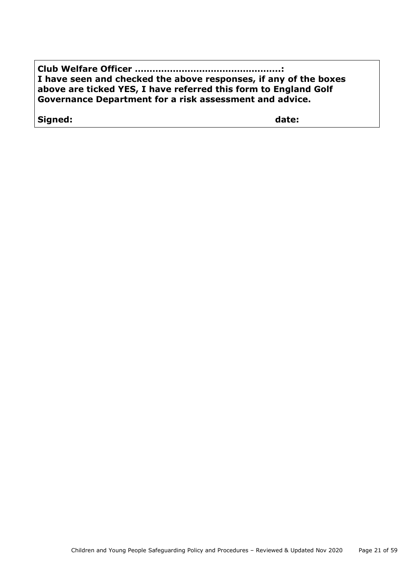| I have seen and checked the above responses, if any of the boxes |
|------------------------------------------------------------------|
| above are ticked YES, I have referred this form to England Golf  |
| Governance Department for a risk assessment and advice.          |

**Signed: date:**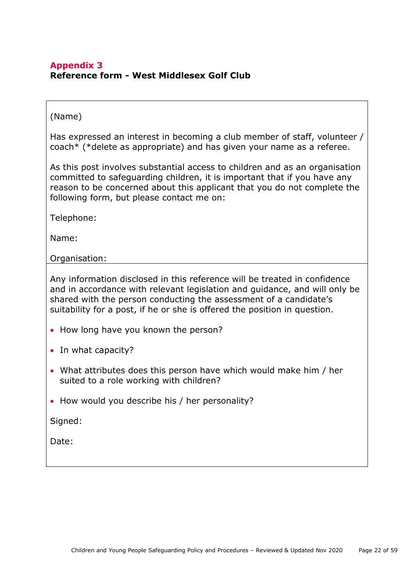#### <span id="page-21-0"></span>**Appendix 3 Reference form - West Middlesex Golf Club**

#### (Name)

Has expressed an interest in becoming a club member of staff, volunteer / coach\* (\*delete as appropriate) and has given your name as a referee.

As this post involves substantial access to children and as an organisation committed to safeguarding children, it is important that if you have any reason to be concerned about this applicant that you do not complete the following form, but please contact me on:

Telephone:

Name:

Organisation:

Any information disclosed in this reference will be treated in confidence and in accordance with relevant legislation and guidance, and will only be shared with the person conducting the assessment of a candidate's suitability for a post, if he or she is offered the position in question.

- How long have you known the person?
- In what capacity?
- What attributes does this person have which would make him / her suited to a role working with children?
- How would you describe his / her personality?

Signed:

Date: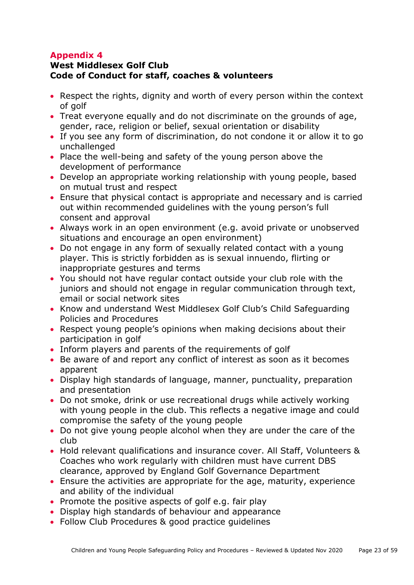# <span id="page-22-0"></span>**West Middlesex Golf Club Code of Conduct for staff, coaches & volunteers**

- Respect the rights, dignity and worth of every person within the context of golf
- Treat everyone equally and do not discriminate on the grounds of age, gender, race, religion or belief, sexual orientation or disability
- If you see any form of discrimination, do not condone it or allow it to go unchallenged
- Place the well-being and safety of the young person above the development of performance
- Develop an appropriate working relationship with young people, based on mutual trust and respect
- Ensure that physical contact is appropriate and necessary and is carried out within recommended guidelines with the young person's full consent and approval
- Always work in an open environment (e.g. avoid private or unobserved situations and encourage an open environment)
- Do not engage in any form of sexually related contact with a young player. This is strictly forbidden as is sexual innuendo, flirting or inappropriate gestures and terms
- You should not have regular contact outside your club role with the juniors and should not engage in regular communication through text, email or social network sites
- Know and understand West Middlesex Golf Club's Child Safeguarding Policies and Procedures
- Respect young people's opinions when making decisions about their participation in golf
- Inform players and parents of the requirements of golf
- Be aware of and report any conflict of interest as soon as it becomes apparent
- Display high standards of language, manner, punctuality, preparation and presentation
- Do not smoke, drink or use recreational drugs while actively working with young people in the club. This reflects a negative image and could compromise the safety of the young people
- Do not give young people alcohol when they are under the care of the club
- Hold relevant qualifications and insurance cover. All Staff, Volunteers & Coaches who work regularly with children must have current DBS clearance, approved by England Golf Governance Department
- Ensure the activities are appropriate for the age, maturity, experience and ability of the individual
- Promote the positive aspects of golf e.g. fair play
- Display high standards of behaviour and appearance
- Follow Club Procedures & good practice guidelines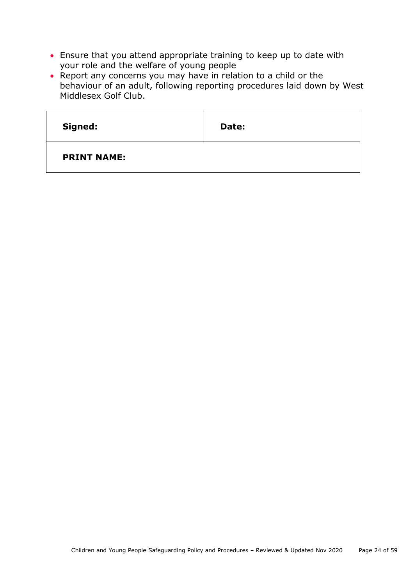- Ensure that you attend appropriate training to keep up to date with your role and the welfare of young people
- Report any concerns you may have in relation to a child or the behaviour of an adult, following reporting procedures laid down by West Middlesex Golf Club.

| Signed:            | Date: |
|--------------------|-------|
| <b>PRINT NAME:</b> |       |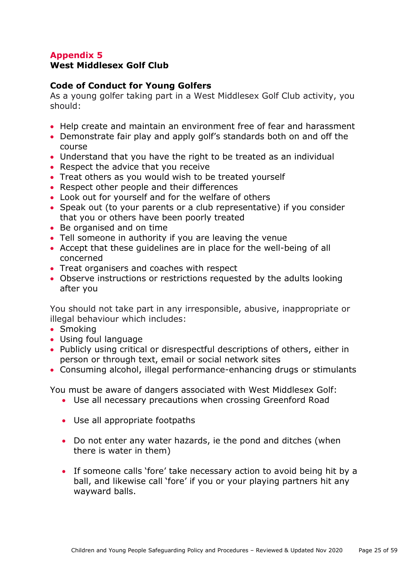## <span id="page-24-0"></span>**West Middlesex Golf Club**

#### **Code of Conduct for Young Golfers**

As a young golfer taking part in a West Middlesex Golf Club activity, you should:

- Help create and maintain an environment free of fear and harassment
- Demonstrate fair play and apply golf's standards both on and off the course
- Understand that you have the right to be treated as an individual
- Respect the advice that you receive
- Treat others as you would wish to be treated yourself
- Respect other people and their differences
- Look out for yourself and for the welfare of others
- Speak out (to your parents or a club representative) if you consider that you or others have been poorly treated
- Be organised and on time
- Tell someone in authority if you are leaving the venue
- Accept that these guidelines are in place for the well-being of all concerned
- Treat organisers and coaches with respect
- Observe instructions or restrictions requested by the adults looking after you

You should not take part in any irresponsible, abusive, inappropriate or illegal behaviour which includes:

- Smoking
- Using foul language
- Publicly using critical or disrespectful descriptions of others, either in person or through text, email or social network sites
- Consuming alcohol, illegal performance-enhancing drugs or stimulants

You must be aware of dangers associated with West Middlesex Golf:

- Use all necessary precautions when crossing Greenford Road
- Use all appropriate footpaths
- Do not enter any water hazards, ie the pond and ditches (when there is water in them)
- If someone calls 'fore' take necessary action to avoid being hit by a ball, and likewise call 'fore' if you or your playing partners hit any wayward balls.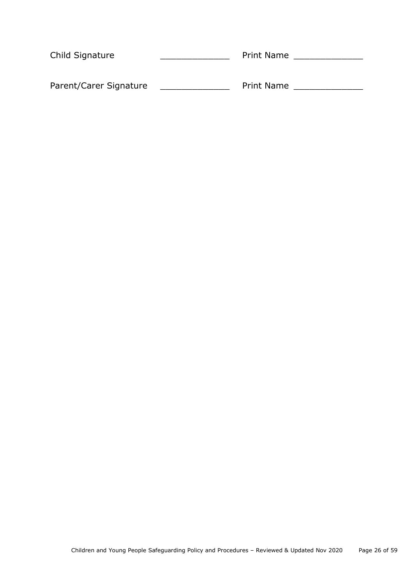| Child Signature        | <b>Print Name</b> |
|------------------------|-------------------|
| Parent/Carer Signature | <b>Print Name</b> |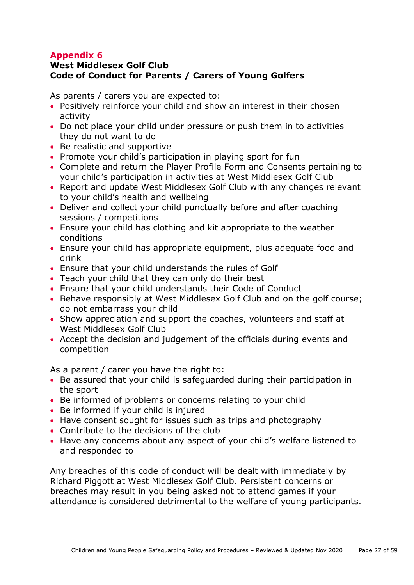# <span id="page-26-0"></span>**West Middlesex Golf Club Code of Conduct for Parents / Carers of Young Golfers**

As parents / carers you are expected to:

- Positively reinforce your child and show an interest in their chosen activity
- Do not place your child under pressure or push them in to activities they do not want to do
- Be realistic and supportive
- Promote your child's participation in playing sport for fun
- Complete and return the Player Profile Form and Consents pertaining to your child's participation in activities at West Middlesex Golf Club
- Report and update West Middlesex Golf Club with any changes relevant to your child's health and wellbeing
- Deliver and collect your child punctually before and after coaching sessions / competitions
- Ensure your child has clothing and kit appropriate to the weather conditions
- Ensure your child has appropriate equipment, plus adequate food and drink
- Ensure that your child understands the rules of Golf
- Teach your child that they can only do their best
- Ensure that your child understands their Code of Conduct
- Behave responsibly at West Middlesex Golf Club and on the golf course; do not embarrass your child
- Show appreciation and support the coaches, volunteers and staff at West Middlesex Golf Club
- Accept the decision and judgement of the officials during events and competition

As a parent / carer you have the right to:

- Be assured that your child is safeguarded during their participation in the sport
- Be informed of problems or concerns relating to your child
- Be informed if your child is injured
- Have consent sought for issues such as trips and photography
- Contribute to the decisions of the club
- Have any concerns about any aspect of your child's welfare listened to and responded to

Any breaches of this code of conduct will be dealt with immediately by Richard Piggott at West Middlesex Golf Club. Persistent concerns or breaches may result in you being asked not to attend games if your attendance is considered detrimental to the welfare of young participants.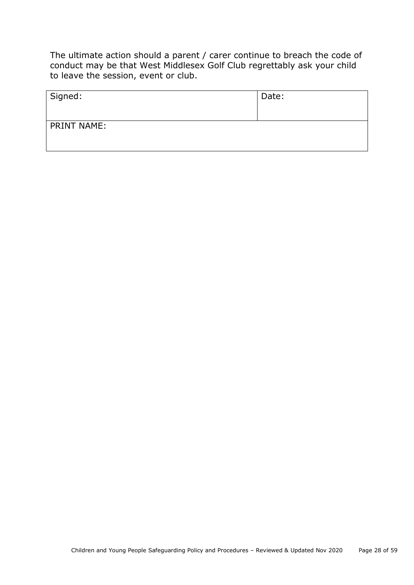The ultimate action should a parent / carer continue to breach the code of conduct may be that West Middlesex Golf Club regrettably ask your child to leave the session, event or club.

| Signed:            | Date: |
|--------------------|-------|
| <b>PRINT NAME:</b> |       |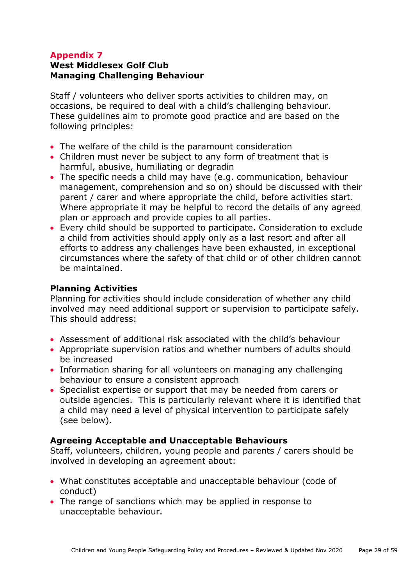# **West Middlesex Golf Club Managing Challenging Behaviour**

Staff / volunteers who deliver sports activities to children may, on occasions, be required to deal with a child's challenging behaviour. These guidelines aim to promote good practice and are based on the following principles:

- The welfare of the child is the paramount consideration
- Children must never be subject to any form of treatment that is harmful, abusive, humiliating or degradin
- The specific needs a child may have (e.g. communication, behaviour management, comprehension and so on) should be discussed with their parent / carer and where appropriate the child, before activities start. Where appropriate it may be helpful to record the details of any agreed plan or approach and provide copies to all parties.
- Every child should be supported to participate. Consideration to exclude a child from activities should apply only as a last resort and after all efforts to address any challenges have been exhausted, in exceptional circumstances where the safety of that child or of other children cannot be maintained.

# **Planning Activities**

Planning for activities should include consideration of whether any child involved may need additional support or supervision to participate safely. This should address:

- Assessment of additional risk associated with the child's behaviour
- Appropriate supervision ratios and whether numbers of adults should be increased
- Information sharing for all volunteers on managing any challenging behaviour to ensure a consistent approach
- Specialist expertise or support that may be needed from carers or outside agencies. This is particularly relevant where it is identified that a child may need a level of physical intervention to participate safely (see below).

#### **Agreeing Acceptable and Unacceptable Behaviours**

Staff, volunteers, children, young people and parents / carers should be involved in developing an agreement about:

- What constitutes acceptable and unacceptable behaviour (code of conduct)
- The range of sanctions which may be applied in response to unacceptable behaviour.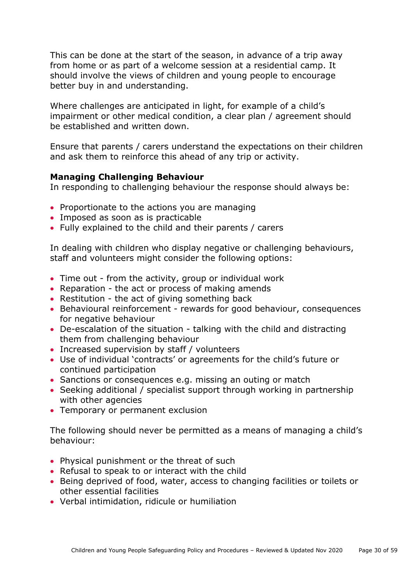This can be done at the start of the season, in advance of a trip away from home or as part of a welcome session at a residential camp. It should involve the views of children and young people to encourage better buy in and understanding.

Where challenges are anticipated in light, for example of a child's impairment or other medical condition, a clear plan / agreement should be established and written down.

Ensure that parents / carers understand the expectations on their children and ask them to reinforce this ahead of any trip or activity.

# **Managing Challenging Behaviour**

In responding to challenging behaviour the response should always be:

- Proportionate to the actions you are managing
- Imposed as soon as is practicable
- Fully explained to the child and their parents / carers

In dealing with children who display negative or challenging behaviours, staff and volunteers might consider the following options:

- Time out from the activity, group or individual work
- Reparation the act or process of making amends
- Restitution the act of giving something back
- Behavioural reinforcement rewards for good behaviour, consequences for negative behaviour
- De-escalation of the situation talking with the child and distracting them from challenging behaviour
- Increased supervision by staff / volunteers
- Use of individual 'contracts' or agreements for the child's future or continued participation
- Sanctions or consequences e.g. missing an outing or match
- Seeking additional / specialist support through working in partnership with other agencies
- Temporary or permanent exclusion

The following should never be permitted as a means of managing a child's behaviour:

- Physical punishment or the threat of such
- Refusal to speak to or interact with the child
- Being deprived of food, water, access to changing facilities or toilets or other essential facilities
- Verbal intimidation, ridicule or humiliation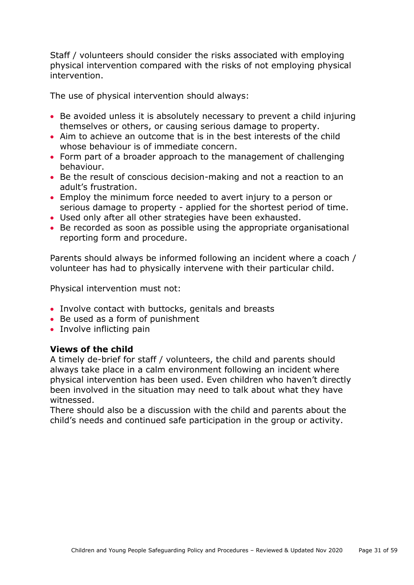Staff / volunteers should consider the risks associated with employing physical intervention compared with the risks of not employing physical intervention.

The use of physical intervention should always:

- Be avoided unless it is absolutely necessary to prevent a child injuring themselves or others, or causing serious damage to property.
- Aim to achieve an outcome that is in the best interests of the child whose behaviour is of immediate concern.
- Form part of a broader approach to the management of challenging behaviour.
- Be the result of conscious decision-making and not a reaction to an adult's frustration.
- Employ the minimum force needed to avert injury to a person or serious damage to property - applied for the shortest period of time.
- Used only after all other strategies have been exhausted.
- Be recorded as soon as possible using the appropriate organisational reporting form and procedure.

Parents should always be informed following an incident where a coach / volunteer has had to physically intervene with their particular child.

Physical intervention must not:

- Involve contact with buttocks, genitals and breasts
- Be used as a form of punishment
- Involve inflicting pain

#### **Views of the child**

A timely de-brief for staff / volunteers, the child and parents should always take place in a calm environment following an incident where physical intervention has been used. Even children who haven't directly been involved in the situation may need to talk about what they have witnessed.

There should also be a discussion with the child and parents about the child's needs and continued safe participation in the group or activity.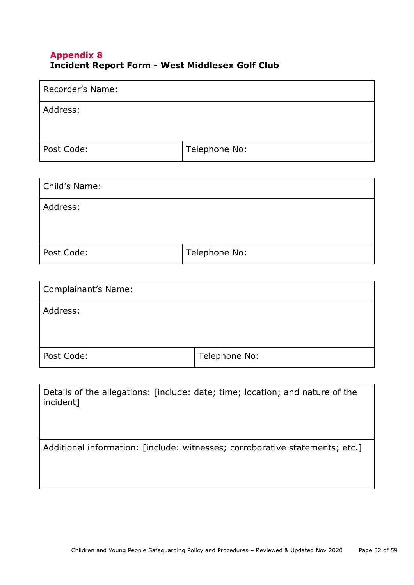## <span id="page-31-0"></span>**Appendix 8 Incident Report Form - West Middlesex Golf Club**

| Recorder's Name: |               |
|------------------|---------------|
| Address:         |               |
|                  |               |
| Post Code:       | Telephone No: |

| Child's Name: |               |
|---------------|---------------|
| Address:      |               |
| Post Code:    | Telephone No: |

| <b>Complainant's Name:</b> |               |
|----------------------------|---------------|
| Address:                   |               |
| Post Code:                 | Telephone No: |

Details of the allegations: [include: date; time; location; and nature of the incident]

Additional information: [include: witnesses; corroborative statements; etc.]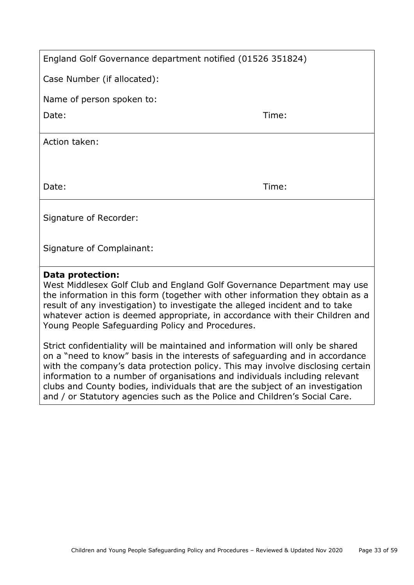| England Golf Governance department notified (01526 351824) |       |
|------------------------------------------------------------|-------|
| Case Number (if allocated):                                |       |
| Name of person spoken to:                                  |       |
| Date:                                                      | Time: |
| Action taken:                                              |       |
|                                                            |       |
| Date:                                                      | Time: |
| Signature of Recorder:                                     |       |
| Signature of Complainant:                                  |       |

#### **Data protection:**

West Middlesex Golf Club and England Golf Governance Department may use the information in this form (together with other information they obtain as a result of any investigation) to investigate the alleged incident and to take whatever action is deemed appropriate, in accordance with their Children and Young People Safeguarding Policy and Procedures.

Strict confidentiality will be maintained and information will only be shared on a "need to know" basis in the interests of safeguarding and in accordance with the company's data protection policy. This may involve disclosing certain information to a number of organisations and individuals including relevant clubs and County bodies, individuals that are the subject of an investigation and / or Statutory agencies such as the Police and Children's Social Care.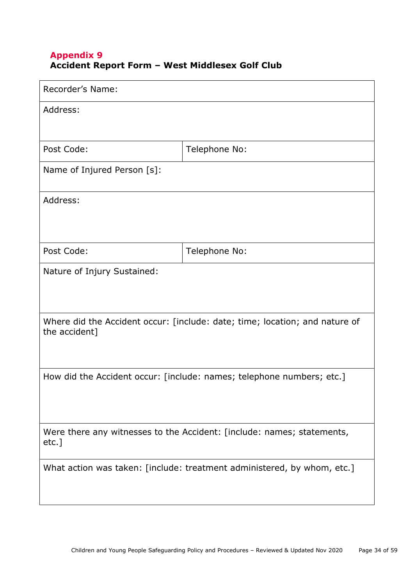### **Appendix 9 Accident Report Form – West Middlesex Golf Club**

| Recorder's Name:                                                                             |               |  |
|----------------------------------------------------------------------------------------------|---------------|--|
| Address:                                                                                     |               |  |
|                                                                                              |               |  |
| Post Code:                                                                                   | Telephone No: |  |
| Name of Injured Person [s]:                                                                  |               |  |
| Address:                                                                                     |               |  |
|                                                                                              |               |  |
| Post Code:                                                                                   | Telephone No: |  |
| Nature of Injury Sustained:                                                                  |               |  |
|                                                                                              |               |  |
| Where did the Accident occur: [include: date; time; location; and nature of<br>the accident] |               |  |
| How did the Accident occur: [include: names; telephone numbers; etc.]                        |               |  |
|                                                                                              |               |  |
|                                                                                              |               |  |
| Were there any witnesses to the Accident: [include: names; statements,<br>etc.]              |               |  |
| What action was taken: [include: treatment administered, by whom, etc.]                      |               |  |
|                                                                                              |               |  |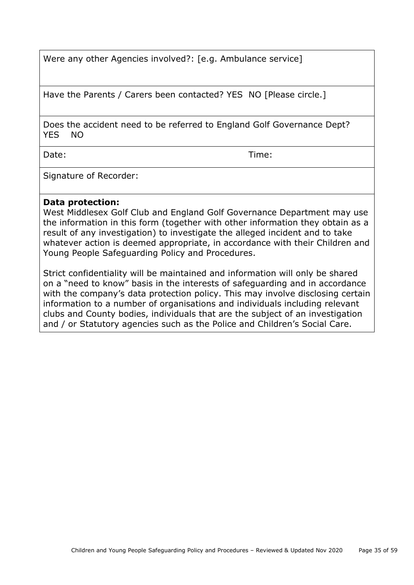Were any other Agencies involved?: [e.g. Ambulance service]

Have the Parents / Carers been contacted? YES NO [Please circle.]

Does the accident need to be referred to England Golf Governance Dept? YES NO

Date: Time:

Signature of Recorder:

#### **Data protection:**

West Middlesex Golf Club and England Golf Governance Department may use the information in this form (together with other information they obtain as a result of any investigation) to investigate the alleged incident and to take whatever action is deemed appropriate, in accordance with their Children and Young People Safeguarding Policy and Procedures.

Strict confidentiality will be maintained and information will only be shared on a "need to know" basis in the interests of safeguarding and in accordance with the company's data protection policy. This may involve disclosing certain information to a number of organisations and individuals including relevant clubs and County bodies, individuals that are the subject of an investigation and / or Statutory agencies such as the Police and Children's Social Care.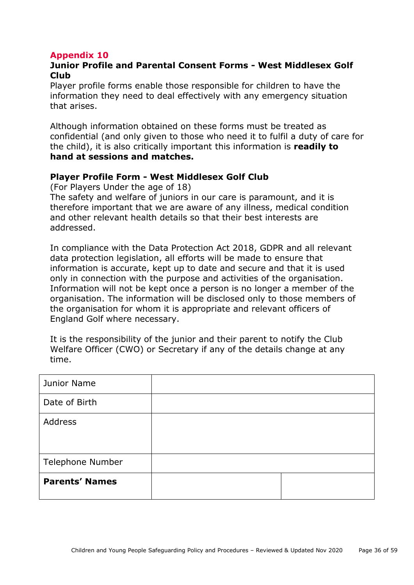## <span id="page-35-0"></span>**Junior Profile and Parental Consent Forms - West Middlesex Golf Club**

Player profile forms enable those responsible for children to have the information they need to deal effectively with any emergency situation that arises.

Although information obtained on these forms must be treated as confidential (and only given to those who need it to fulfil a duty of care for the child), it is also critically important this information is **readily to hand at sessions and matches.**

#### **Player Profile Form - West Middlesex Golf Club**

(For Players Under the age of 18)

The safety and welfare of juniors in our care is paramount, and it is therefore important that we are aware of any illness, medical condition and other relevant health details so that their best interests are addressed.

In compliance with the Data Protection Act 2018, GDPR and all relevant data protection legislation, all efforts will be made to ensure that information is accurate, kept up to date and secure and that it is used only in connection with the purpose and activities of the organisation. Information will not be kept once a person is no longer a member of the organisation. The information will be disclosed only to those members of the organisation for whom it is appropriate and relevant officers of England Golf where necessary.

It is the responsibility of the junior and their parent to notify the Club Welfare Officer (CWO) or Secretary if any of the details change at any time.

| Junior Name             |  |
|-------------------------|--|
| Date of Birth           |  |
| Address                 |  |
| <b>Telephone Number</b> |  |
| <b>Parents' Names</b>   |  |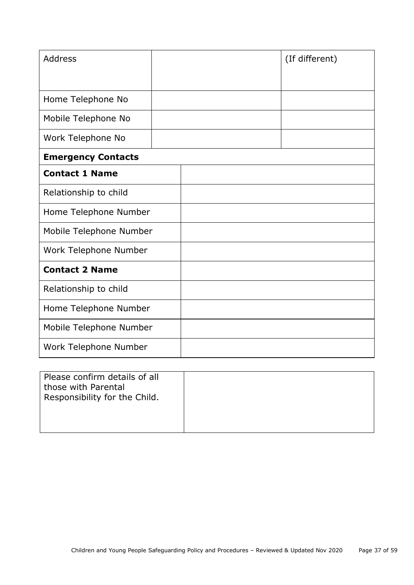| <b>Address</b>            |  | (If different) |
|---------------------------|--|----------------|
|                           |  |                |
| Home Telephone No         |  |                |
| Mobile Telephone No       |  |                |
| Work Telephone No         |  |                |
| <b>Emergency Contacts</b> |  |                |
| <b>Contact 1 Name</b>     |  |                |
| Relationship to child     |  |                |
| Home Telephone Number     |  |                |
| Mobile Telephone Number   |  |                |
| Work Telephone Number     |  |                |
| <b>Contact 2 Name</b>     |  |                |
| Relationship to child     |  |                |
| Home Telephone Number     |  |                |
| Mobile Telephone Number   |  |                |
| Work Telephone Number     |  |                |

| Please confirm details of all<br>those with Parental<br>Responsibility for the Child. |  |
|---------------------------------------------------------------------------------------|--|
|                                                                                       |  |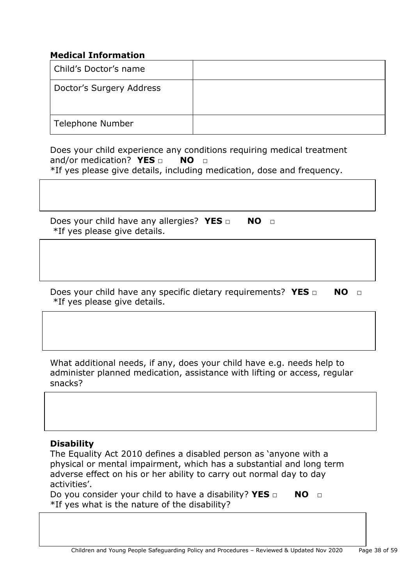# **Medical Information**

| Child's Doctor's name    |  |
|--------------------------|--|
| Doctor's Surgery Address |  |
| Telephone Number         |  |

Does your child experience any conditions requiring medical treatment and/or medication? **YES** □ **NO** □ \*If yes please give details, including medication, dose and frequency.

Does your child have any allergies? **YES** □ **NO** □ \*If yes please give details.

Does your child have any specific dietary requirements? **YES** □ NO □ \*If yes please give details.

What additional needs, if any, does your child have e.g. needs help to administer planned medication, assistance with lifting or access, regular snacks?

#### **Disability**

The Equality Act 2010 defines a disabled person as 'anyone with a physical or mental impairment, which has a substantial and long term adverse effect on his or her ability to carry out normal day to day activities'.

Do you consider your child to have a disability? **YES □** NO □ \*If yes what is the nature of the disability?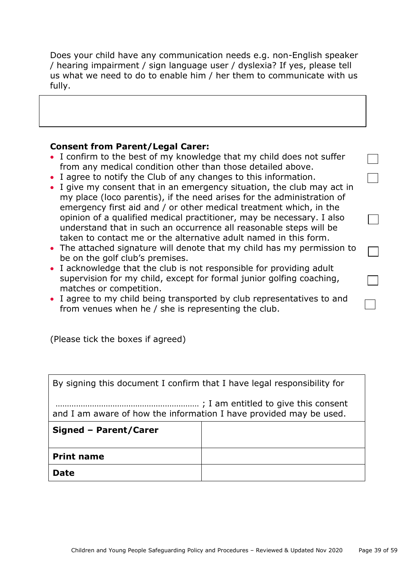Does your child have any communication needs e.g. non-English speaker / hearing impairment / sign language user / dyslexia? If yes, please tell us what we need to do to enable him / her them to communicate with us fully.

#### **Consent from Parent/Legal Carer:**

- I confirm to the best of my knowledge that my child does not suffer from any medical condition other than those detailed above.
- I agree to notify the Club of any changes to this information.
- I give my consent that in an emergency situation, the club may act in my place (loco parentis), if the need arises for the administration of emergency first aid and / or other medical treatment which, in the opinion of a qualified medical practitioner, may be necessary. I also understand that in such an occurrence all reasonable steps will be taken to contact me or the alternative adult named in this form.
- The attached signature will denote that my child has my permission to be on the golf club's premises.
- I acknowledge that the club is not responsible for providing adult supervision for my child, except for formal junior golfing coaching, matches or competition.
- I agree to my child being transported by club representatives to and from venues when he / she is representing the club.

(Please tick the boxes if agreed)

By signing this document I confirm that I have legal responsibility for

……………………………………………………… ; I am entitled to give this consent and I am aware of how the information I have provided may be used.

| Signed - Parent/Carer |  |
|-----------------------|--|
| <b>Print name</b>     |  |
| <b>Date</b>           |  |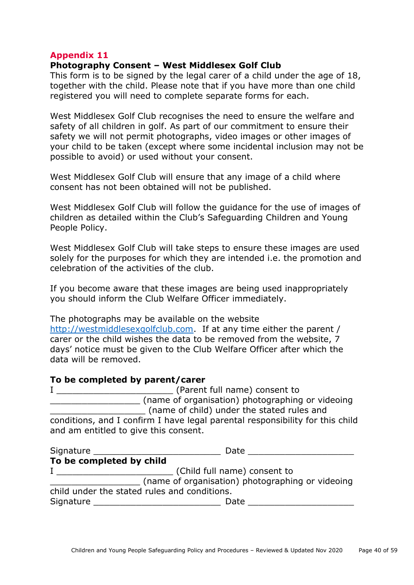#### <span id="page-39-0"></span>**Photography Consent – West Middlesex Golf Club**

This form is to be signed by the legal carer of a child under the age of 18, together with the child. Please note that if you have more than one child registered you will need to complete separate forms for each.

West Middlesex Golf Club recognises the need to ensure the welfare and safety of all children in golf. As part of our commitment to ensure their safety we will not permit photographs, video images or other images of your child to be taken (except where some incidental inclusion may not be possible to avoid) or used without your consent.

West Middlesex Golf Club will ensure that any image of a child where consent has not been obtained will not be published.

West Middlesex Golf Club will follow the guidance for the use of images of children as detailed within the Club's Safeguarding Children and Young People Policy.

West Middlesex Golf Club will take steps to ensure these images are used solely for the purposes for which they are intended i.e. the promotion and celebration of the activities of the club.

If you become aware that these images are being used inappropriately you should inform the Club Welfare Officer immediately.

The photographs may be available on the website

[http://westmiddlesexgolfclub.com.](http://westmiddlesexgolfclub.com/) If at any time either the parent / carer or the child wishes the data to be removed from the website, 7 days' notice must be given to the Club Welfare Officer after which the data will be removed.

#### **To be completed by parent/carer**

| (Parent full name) consent to                                                 |
|-------------------------------------------------------------------------------|
| (name of organisation) photographing or videoing                              |
| (name of child) under the stated rules and                                    |
| conditions, and I confirm I have legal parental responsibility for this child |
| and am entitled to give this consent.                                         |

<span id="page-39-1"></span>

| Signature                                        | Date                         |
|--------------------------------------------------|------------------------------|
| To be completed by child                         |                              |
|                                                  | (Child full name) consent to |
| (name of organisation) photographing or videoing |                              |
| child under the stated rules and conditions.     |                              |
| Signature                                        | Date                         |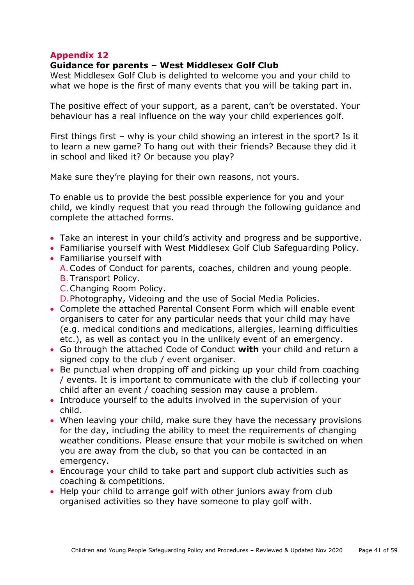#### **Guidance for parents – West Middlesex Golf Club**

West Middlesex Golf Club is delighted to welcome you and your child to what we hope is the first of many events that you will be taking part in.

The positive effect of your support, as a parent, can't be overstated. Your behaviour has a real influence on the way your child experiences golf.

First things first – why is your child showing an interest in the sport? Is it to learn a new game? To hang out with their friends? Because they did it in school and liked it? Or because you play?

Make sure they're playing for their own reasons, not yours.

To enable us to provide the best possible experience for you and your child, we kindly request that you read through the following guidance and complete the attached forms.

- Take an interest in your child's activity and progress and be supportive.
- Familiarise yourself with West Middlesex Golf Club Safeguarding Policy.
- Familiarise yourself with A.Codes of Conduct for parents, coaches, children and young people. B.Transport Policy.
	- C.Changing Room Policy.
	- D.Photography, Videoing and the use of Social Media Policies.
- Complete the attached Parental Consent Form which will enable event organisers to cater for any particular needs that your child may have (e.g. medical conditions and medications, allergies, learning difficulties etc.), as well as contact you in the unlikely event of an emergency.
- Go through the attached Code of Conduct **with** your child and return a signed copy to the club / event organiser.
- Be punctual when dropping off and picking up your child from coaching / events. It is important to communicate with the club if collecting your child after an event / coaching session may cause a problem.
- Introduce yourself to the adults involved in the supervision of your child.
- When leaving your child, make sure they have the necessary provisions for the day, including the ability to meet the requirements of changing weather conditions. Please ensure that your mobile is switched on when you are away from the club, so that you can be contacted in an emergency.
- Encourage your child to take part and support club activities such as coaching & competitions.
- Help your child to arrange golf with other juniors away from club organised activities so they have someone to play golf with.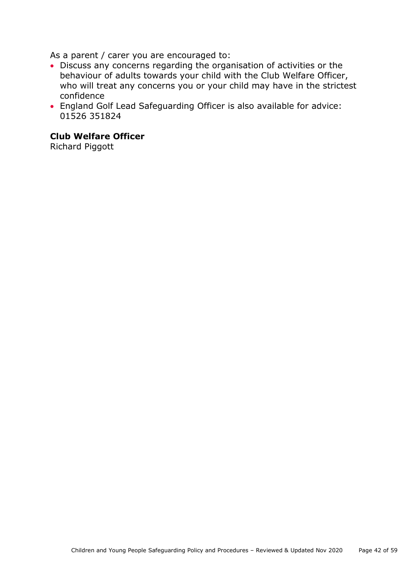As a parent / carer you are encouraged to:

- Discuss any concerns regarding the organisation of activities or the behaviour of adults towards your child with the Club Welfare Officer, who will treat any concerns you or your child may have in the strictest confidence
- England Golf Lead Safeguarding Officer is also available for advice: 01526 351824

### **Club Welfare Officer**

<span id="page-41-0"></span>Richard Piggott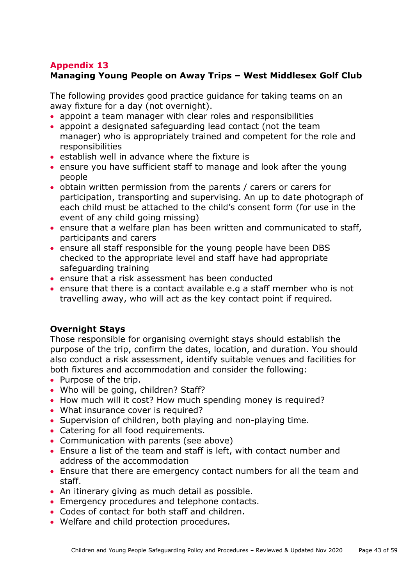# **Managing Young People on Away Trips – West Middlesex Golf Club**

The following provides good practice guidance for taking teams on an away fixture for a day (not overnight).

- appoint a team manager with clear roles and responsibilities
- appoint a designated safeguarding lead contact (not the team manager) who is appropriately trained and competent for the role and responsibilities
- establish well in advance where the fixture is
- ensure you have sufficient staff to manage and look after the young people
- obtain written permission from the parents / carers or carers for participation, transporting and supervising. An up to date photograph of each child must be attached to the child's consent form (for use in the event of any child going missing)
- ensure that a welfare plan has been written and communicated to staff, participants and carers
- ensure all staff responsible for the young people have been DBS checked to the appropriate level and staff have had appropriate safeguarding training
- ensure that a risk assessment has been conducted
- ensure that there is a contact available e.g a staff member who is not travelling away, who will act as the key contact point if required.

#### **Overnight Stays**

Those responsible for organising overnight stays should establish the purpose of the trip, confirm the dates, location, and duration. You should also conduct a risk assessment, identify suitable venues and facilities for both fixtures and accommodation and consider the following:

- Purpose of the trip.
- Who will be going, children? Staff?
- How much will it cost? How much spending money is required?
- What insurance cover is required?
- Supervision of children, both playing and non-playing time.
- Catering for all food requirements.
- Communication with parents (see above)
- Ensure a list of the team and staff is left, with contact number and address of the accommodation
- Ensure that there are emergency contact numbers for all the team and staff.
- An itinerary giving as much detail as possible.
- Emergency procedures and telephone contacts.
- Codes of contact for both staff and children.
- Welfare and child protection procedures.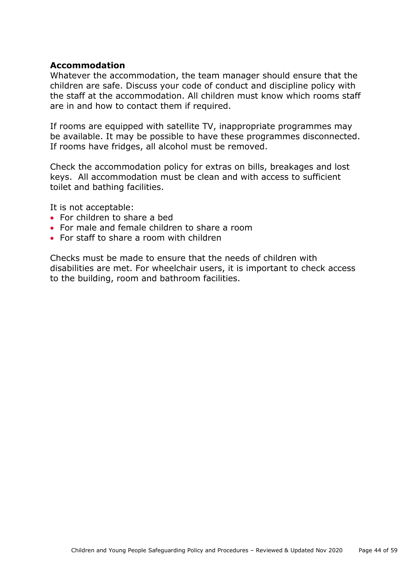#### **Accommodation**

Whatever the accommodation, the team manager should ensure that the children are safe. Discuss your code of conduct and discipline policy with the staff at the accommodation. All children must know which rooms staff are in and how to contact them if required.

If rooms are equipped with satellite TV, inappropriate programmes may be available. It may be possible to have these programmes disconnected. If rooms have fridges, all alcohol must be removed.

Check the accommodation policy for extras on bills, breakages and lost keys. All accommodation must be clean and with access to sufficient toilet and bathing facilities.

It is not acceptable:

- For children to share a bed
- For male and female children to share a room
- For staff to share a room with children

<span id="page-43-0"></span>Checks must be made to ensure that the needs of children with disabilities are met. For wheelchair users, it is important to check access to the building, room and bathroom facilities.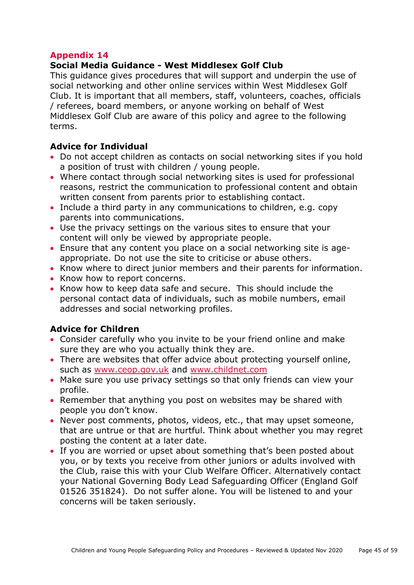## **Social Media Guidance - West Middlesex Golf Club**

This guidance gives procedures that will support and underpin the use of social networking and other online services within West Middlesex Golf Club. It is important that all members, staff, volunteers, coaches, officials / referees, board members, or anyone working on behalf of West Middlesex Golf Club are aware of this policy and agree to the following terms.

## **Advice for Individual**

- Do not accept children as contacts on social networking sites if you hold a position of trust with children / young people.
- Where contact through social networking sites is used for professional reasons, restrict the communication to professional content and obtain written consent from parents prior to establishing contact.
- Include a third party in any communications to children, e.g. copy parents into communications.
- Use the privacy settings on the various sites to ensure that your content will only be viewed by appropriate people.
- Ensure that any content you place on a social networking site is ageappropriate. Do not use the site to criticise or abuse others.
- Know where to direct junior members and their parents for information.
- Know how to report concerns.
- Know how to keep data safe and secure. This should include the personal contact data of individuals, such as mobile numbers, email addresses and social networking profiles.

# **Advice for Children**

- Consider carefully who you invite to be your friend online and make sure they are who you actually think they are.
- There are websites that offer advice about protecting yourself online, such as [www.ceop.gov.uk](http://www.ceop.gov.uk/) and [www.childnet.com](http://www.childnet.com/)
- Make sure you use privacy settings so that only friends can view your profile.
- Remember that anything you post on websites may be shared with people you don't know.
- Never post comments, photos, videos, etc., that may upset someone, that are untrue or that are hurtful. Think about whether you may regret posting the content at a later date.
- If you are worried or upset about something that's been posted about you, or by texts you receive from other juniors or adults involved with the Club, raise this with your Club Welfare Officer. Alternatively contact your National Governing Body Lead Safeguarding Officer (England Golf 01526 351824). Do not suffer alone. You will be listened to and your concerns will be taken seriously.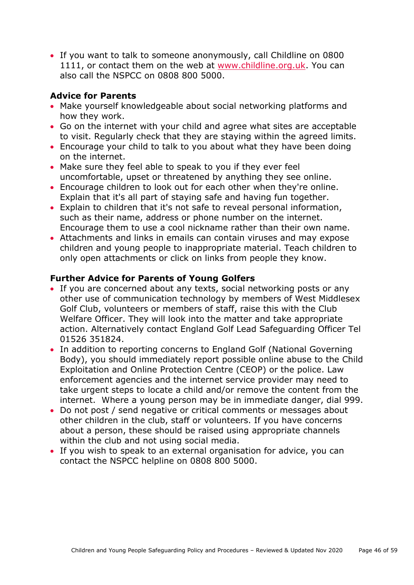• If you want to talk to someone anonymously, call Childline on 0800 1111, or contact them on the web at [www.childline.org.uk.](http://www.childline.org.uk/) You can also call the NSPCC on 0808 800 5000.

# **Advice for Parents**

- Make yourself knowledgeable about social networking platforms and how they work.
- Go on the internet with your child and agree what sites are acceptable to visit. Regularly check that they are staying within the agreed limits.
- Encourage your child to talk to you about what they have been doing on the internet.
- Make sure they feel able to speak to you if they ever feel uncomfortable, upset or threatened by anything they see online.
- Encourage children to look out for each other when they're online. Explain that it's all part of staying safe and having fun together.
- Explain to children that it's not safe to reveal personal information, such as their name, address or phone number on the internet. Encourage them to use a cool nickname rather than their own name.
- Attachments and links in emails can contain viruses and may expose children and young people to inappropriate material. Teach children to only open attachments or click on links from people they know.

#### **Further Advice for Parents of Young Golfers**

- If you are concerned about any texts, social networking posts or any other use of communication technology by members of West Middlesex Golf Club, volunteers or members of staff, raise this with the Club Welfare Officer. They will look into the matter and take appropriate action. Alternatively contact England Golf Lead Safeguarding Officer Tel 01526 351824.
- In addition to reporting concerns to England Golf (National Governing Body), you should immediately report possible online abuse to the Child Exploitation and Online Protection Centre (CEOP) or the police. Law enforcement agencies and the internet service provider may need to take urgent steps to locate a child and/or remove the content from the internet. Where a young person may be in immediate danger, dial 999.
- Do not post / send negative or critical comments or messages about other children in the club, staff or volunteers. If you have concerns about a person, these should be raised using appropriate channels within the club and not using social media.
- <span id="page-45-0"></span>• If you wish to speak to an external organisation for advice, you can contact the NSPCC helpline on 0808 800 5000.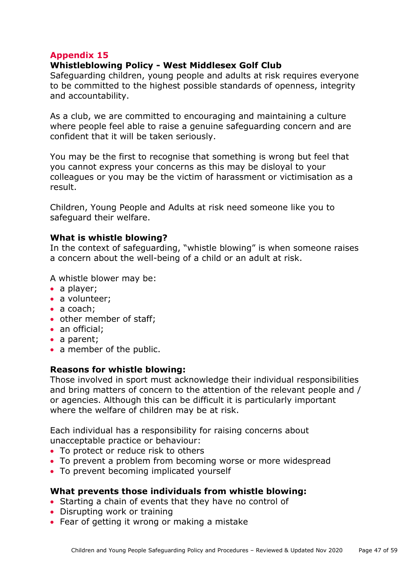#### **Whistleblowing Policy - West Middlesex Golf Club**

Safeguarding children, young people and adults at risk requires everyone to be committed to the highest possible standards of openness, integrity and accountability.

As a club, we are committed to encouraging and maintaining a culture where people feel able to raise a genuine safeguarding concern and are confident that it will be taken seriously.

You may be the first to recognise that something is wrong but feel that you cannot express your concerns as this may be disloyal to your colleagues or you may be the victim of harassment or victimisation as a result.

Children, Young People and Adults at risk need someone like you to safeguard their welfare.

#### **What is whistle blowing?**

In the context of safeguarding, "whistle blowing" is when someone raises a concern about the well-being of a child or an adult at risk.

A whistle blower may be:

- a player;
- a volunteer;
- a coach;
- other member of staff;
- an official:
- a parent:
- a member of the public.

#### **Reasons for whistle blowing:**

Those involved in sport must acknowledge their individual responsibilities and bring matters of concern to the attention of the relevant people and / or agencies. Although this can be difficult it is particularly important where the welfare of children may be at risk.

Each individual has a responsibility for raising concerns about unacceptable practice or behaviour:

- To protect or reduce risk to others
- To prevent a problem from becoming worse or more widespread
- To prevent becoming implicated yourself

#### **What prevents those individuals from whistle blowing:**

- Starting a chain of events that they have no control of
- Disrupting work or training
- Fear of getting it wrong or making a mistake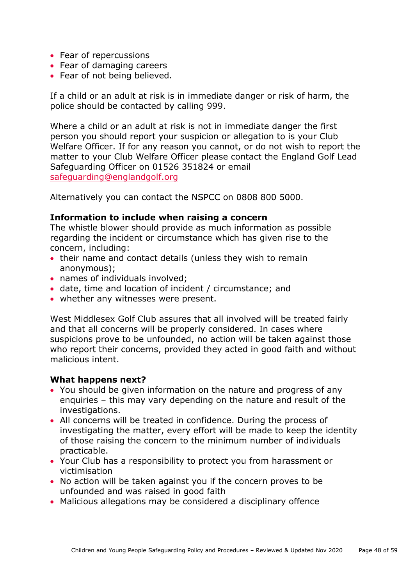- Fear of repercussions
- Fear of damaging careers
- Fear of not being believed.

If a child or an adult at risk is in immediate danger or risk of harm, the police should be contacted by calling 999.

Where a child or an adult at risk is not in immediate danger the first person you should report your suspicion or allegation to is your Club Welfare Officer. If for any reason you cannot, or do not wish to report the matter to your Club Welfare Officer please contact the England Golf Lead Safeguarding Officer on 01526 351824 or email [safeguarding@englandgolf.org](mailto:safeguarding@englandgolf.org)

Alternatively you can contact the NSPCC on 0808 800 5000.

#### **Information to include when raising a concern**

The whistle blower should provide as much information as possible regarding the incident or circumstance which has given rise to the concern, including:

- their name and contact details (unless they wish to remain anonymous);
- names of individuals involved:
- date, time and location of incident / circumstance; and
- whether any witnesses were present.

West Middlesex Golf Club assures that all involved will be treated fairly and that all concerns will be properly considered. In cases where suspicions prove to be unfounded, no action will be taken against those who report their concerns, provided they acted in good faith and without malicious intent.

#### **What happens next?**

- You should be given information on the nature and progress of any enquiries – this may vary depending on the nature and result of the investigations.
- All concerns will be treated in confidence. During the process of investigating the matter, every effort will be made to keep the identity of those raising the concern to the minimum number of individuals practicable.
- Your Club has a responsibility to protect you from harassment or victimisation
- No action will be taken against you if the concern proves to be unfounded and was raised in good faith
- Malicious allegations may be considered a disciplinary offence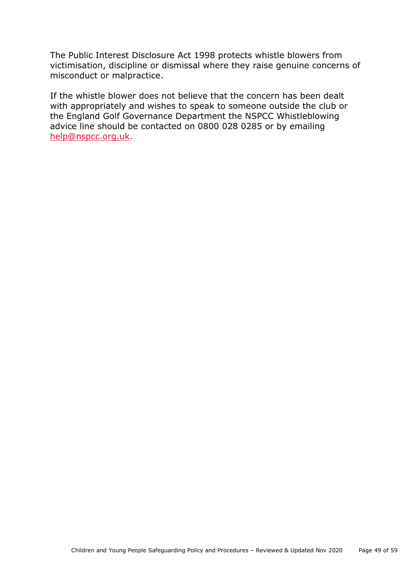The Public Interest Disclosure Act 1998 protects whistle blowers from victimisation, discipline or dismissal where they raise genuine concerns of misconduct or malpractice.

If the whistle blower does not believe that the concern has been dealt with appropriately and wishes to speak to someone outside the club or the England Golf Governance Department the NSPCC Whistleblowing advice line should be contacted on 0800 028 0285 or by emailing [help@nspcc.org.uk.](mailto:help@nspcc.org.uk)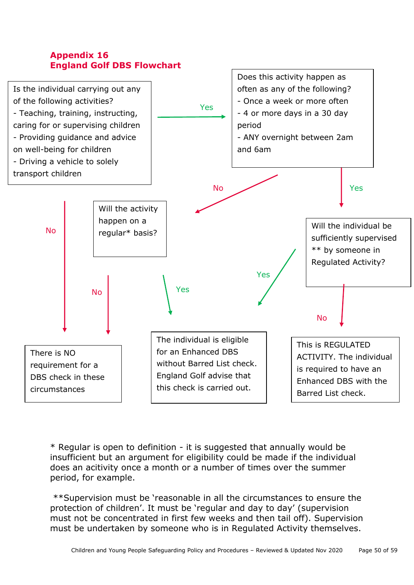<span id="page-49-0"></span>



\* Regular is open to definition - it is suggested that annually would be insufficient but an argument for eligibility could be made if the individual does an acitivity once a month or a number of times over the summer period, for example.

\*\*Supervision must be 'reasonable in all the circumstances to ensure the protection of children'. It must be 'regular and day to day' (supervision must not be concentrated in first few weeks and then tail off). Supervision must be undertaken by someone who is in Regulated Activity themselves.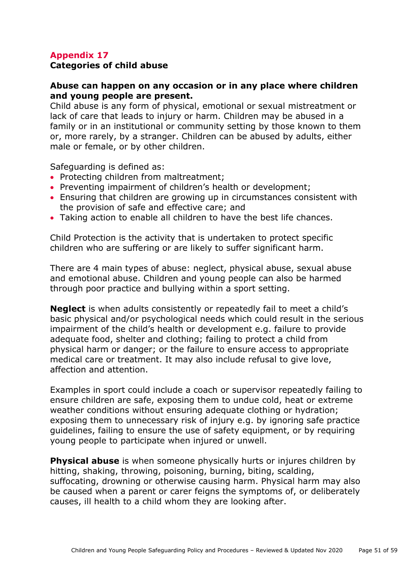#### **Categories of child abuse**

#### **Abuse can happen on any occasion or in any place where children and young people are present.**

Child abuse is any form of physical, emotional or sexual mistreatment or lack of care that leads to injury or harm. Children may be abused in a family or in an institutional or community setting by those known to them or, more rarely, by a stranger. Children can be abused by adults, either male or female, or by other children.

Safeguarding is defined as:

- Protecting children from maltreatment;
- Preventing impairment of children's health or development;
- Ensuring that children are growing up in circumstances consistent with the provision of safe and effective care; and
- Taking action to enable all children to have the best life chances.

Child Protection is the activity that is undertaken to protect specific children who are suffering or are likely to suffer significant harm.

There are 4 main types of abuse: neglect, physical abuse, sexual abuse and emotional abuse. Children and young people can also be harmed through poor practice and bullying within a sport setting.

**Neglect** is when adults consistently or repeatedly fail to meet a child's basic physical and/or psychological needs which could result in the serious impairment of the child's health or development e.g. failure to provide adequate food, shelter and clothing; failing to protect a child from physical harm or danger; or the failure to ensure access to appropriate medical care or treatment. It may also include refusal to give love, affection and attention.

Examples in sport could include a coach or supervisor repeatedly failing to ensure children are safe, exposing them to undue cold, heat or extreme weather conditions without ensuring adequate clothing or hydration; exposing them to unnecessary risk of injury e.g. by ignoring safe practice guidelines, failing to ensure the use of safety equipment, or by requiring young people to participate when injured or unwell.

**Physical abuse** is when someone physically hurts or injures children by hitting, shaking, throwing, poisoning, burning, biting, scalding, suffocating, drowning or otherwise causing harm. Physical harm may also be caused when a parent or carer feigns the symptoms of, or deliberately causes, ill health to a child whom they are looking after.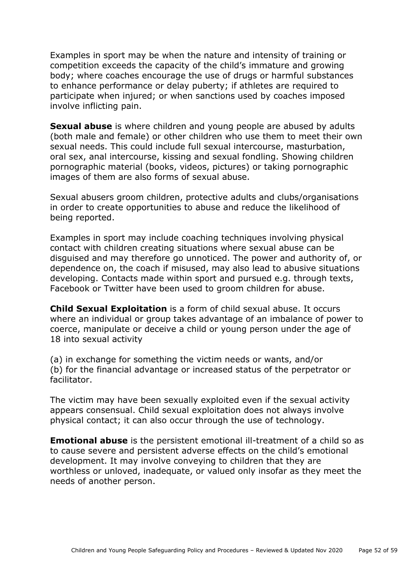Examples in sport may be when the nature and intensity of training or competition exceeds the capacity of the child's immature and growing body; where coaches encourage the use of drugs or harmful substances to enhance performance or delay puberty; if athletes are required to participate when injured; or when sanctions used by coaches imposed involve inflicting pain.

**Sexual abuse** is where children and young people are abused by adults (both male and female) or other children who use them to meet their own sexual needs. This could include full sexual intercourse, masturbation, oral sex, anal intercourse, kissing and sexual fondling. Showing children pornographic material (books, videos, pictures) or taking pornographic images of them are also forms of sexual abuse.

Sexual abusers groom children, protective adults and clubs/organisations in order to create opportunities to abuse and reduce the likelihood of being reported.

Examples in sport may include coaching techniques involving physical contact with children creating situations where sexual abuse can be disguised and may therefore go unnoticed. The power and authority of, or dependence on, the coach if misused, may also lead to abusive situations developing. Contacts made within sport and pursued e.g. through texts, Facebook or Twitter have been used to groom children for abuse.

**Child Sexual Exploitation** is a form of child sexual abuse. It occurs where an individual or group takes advantage of an imbalance of power to coerce, manipulate or deceive a child or young person under the age of 18 into sexual activity

(a) in exchange for something the victim needs or wants, and/or (b) for the financial advantage or increased status of the perpetrator or facilitator.

The victim may have been sexually exploited even if the sexual activity appears consensual. Child sexual exploitation does not always involve physical contact; it can also occur through the use of technology.

**Emotional abuse** is the persistent emotional ill-treatment of a child so as to cause severe and persistent adverse effects on the child's emotional development. It may involve conveying to children that they are worthless or unloved, inadequate, or valued only insofar as they meet the needs of another person.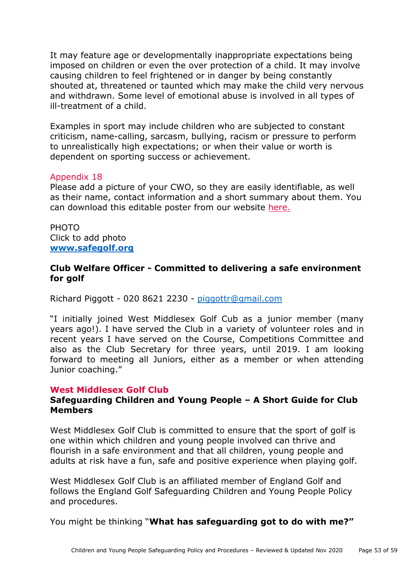It may feature age or developmentally inappropriate expectations being imposed on children or even the over protection of a child. It may involve causing children to feel frightened or in danger by being constantly shouted at, threatened or taunted which may make the child very nervous and withdrawn. Some level of emotional abuse is involved in all types of ill-treatment of a child.

Examples in sport may include children who are subjected to constant criticism, name-calling, sarcasm, bullying, racism or pressure to perform to unrealistically high expectations; or when their value or worth is dependent on sporting success or achievement.

#### <span id="page-52-0"></span>Appendix 18

Please add a picture of your CWO, so they are easily identifiable, as well as their name, contact information and a short summary about them. You can download this editable poster from our website [here.](https://www.englandgolf.org/download/club-welfare-officer-editable-poster/)

PHOTO Click to add photo **[www.safegolf.org](http://www.safegolf.org/)**

#### **Club Welfare Officer - Committed to delivering a safe environment for golf**

Richard Piggott - 020 8621 2230 - [piggottr@gmail.com](mailto:piggottr@gmail.com)

"I initially joined West Middlesex Golf Cub as a junior member (many years ago!). I have served the Club in a variety of volunteer roles and in recent years I have served on the Course, Competitions Committee and also as the Club Secretary for three years, until 2019. I am looking forward to meeting all Juniors, either as a member or when attending Junior coaching."

#### <span id="page-52-1"></span>**West Middlesex Golf Club**

#### **Safeguarding Children and Young People – A Short Guide for Club Members**

West Middlesex Golf Club is committed to ensure that the sport of golf is one within which children and young people involved can thrive and flourish in a safe environment and that all children, young people and adults at risk have a fun, safe and positive experience when playing golf.

West Middlesex Golf Club is an affiliated member of England Golf and follows the England Golf Safeguarding Children and Young People Policy and procedures.

You might be thinking "**What has safeguarding got to do with me?"**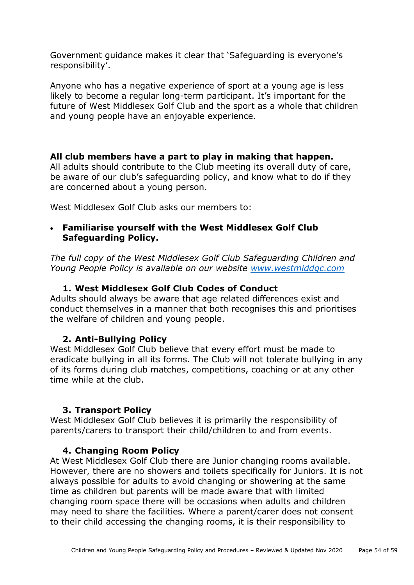Government guidance makes it clear that 'Safeguarding is everyone's responsibility'.

Anyone who has a negative experience of sport at a young age is less likely to become a regular long-term participant. It's important for the future of West Middlesex Golf Club and the sport as a whole that children and young people have an enjoyable experience.

#### **All club members have a part to play in making that happen.**

All adults should contribute to the Club meeting its overall duty of care, be aware of our club's safeguarding policy, and know what to do if they are concerned about a young person.

West Middlesex Golf Club asks our members to:

#### • **Familiarise yourself with the West Middlesex Golf Club Safeguarding Policy.**

*The full copy of the West Middlesex Golf Club Safeguarding Children and Young People Policy is available on our website [www.westmiddgc.com](http://www.westmiddgc.com/)*

#### **1. West Middlesex Golf Club Codes of Conduct**

Adults should always be aware that age related differences exist and conduct themselves in a manner that both recognises this and prioritises the welfare of children and young people.

#### **2. Anti-Bullying Policy**

West Middlesex Golf Club believe that every effort must be made to eradicate bullying in all its forms. The Club will not tolerate bullying in any of its forms during club matches, competitions, coaching or at any other time while at the club.

#### **3. Transport Policy**

West Middlesex Golf Club believes it is primarily the responsibility of parents/carers to transport their child/children to and from events.

#### **4. Changing Room Policy**

At West Middlesex Golf Club there are Junior changing rooms available. However, there are no showers and toilets specifically for Juniors. It is not always possible for adults to avoid changing or showering at the same time as children but parents will be made aware that with limited changing room space there will be occasions when adults and children may need to share the facilities. Where a parent/carer does not consent to their child accessing the changing rooms, it is their responsibility to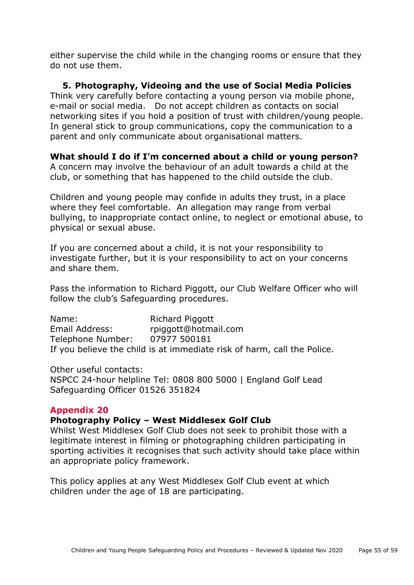either supervise the child while in the changing rooms or ensure that they do not use them.

**5. Photography, Videoing and the use of Social Media Policies** Think very carefully before contacting a young person via mobile phone, e-mail or social media. Do not accept children as contacts on social networking sites if you hold a position of trust with children/young people. In general stick to group communications, copy the communication to a parent and only communicate about organisational matters.

# **What should I do if I'm concerned about a child or young person?**

A concern may involve the behaviour of an adult towards a child at the club, or something that has happened to the child outside the club.

Children and young people may confide in adults they trust, in a place where they feel comfortable. An allegation may range from verbal bullying, to inappropriate contact online, to neglect or emotional abuse, to physical or sexual abuse.

If you are concerned about a child, it is not your responsibility to investigate further, but it is your responsibility to act on your concerns and share them.

Pass the information to Richard Piggott, our Club Welfare Officer who will follow the club's Safeguarding procedures.

Name: Richard Piggott Email Address: rpiggott@hotmail.com Telephone Number: 07977 500181 If you believe the child is at immediate risk of harm, call the Police.

Other useful contacts: NSPCC 24-hour helpline Tel: 0808 800 5000 | England Golf Lead Safeguarding Officer 01526 351824

#### <span id="page-54-0"></span>**Appendix 20**

#### **Photography Policy – West Middlesex Golf Club**

Whilst West Middlesex Golf Club does not seek to prohibit those with a legitimate interest in filming or photographing children participating in sporting activities it recognises that such activity should take place within an appropriate policy framework.

This policy applies at any West Middlesex Golf Club event at which children under the age of 18 are participating.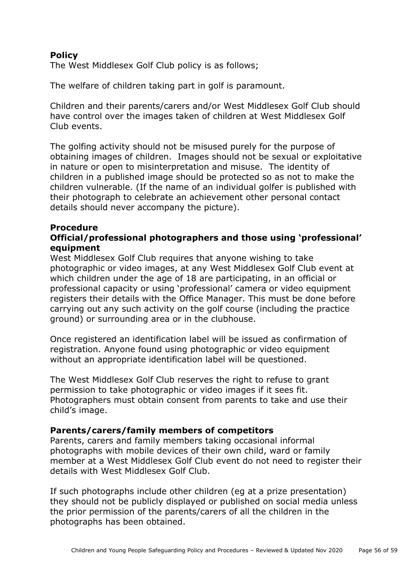## **Policy**

The West Middlesex Golf Club policy is as follows;

The welfare of children taking part in golf is paramount.

Children and their parents/carers and/or West Middlesex Golf Club should have control over the images taken of children at West Middlesex Golf Club events.

The golfing activity should not be misused purely for the purpose of obtaining images of children. Images should not be sexual or exploitative in nature or open to misinterpretation and misuse. The identity of children in a published image should be protected so as not to make the children vulnerable. (If the name of an individual golfer is published with their photograph to celebrate an achievement other personal contact details should never accompany the picture).

#### **Procedure**

## **Official/professional photographers and those using 'professional' equipment**

West Middlesex Golf Club requires that anyone wishing to take photographic or video images, at any West Middlesex Golf Club event at which children under the age of 18 are participating, in an official or professional capacity or using 'professional' camera or video equipment registers their details with the Office Manager. This must be done before carrying out any such activity on the golf course (including the practice ground) or surrounding area or in the clubhouse.

Once registered an identification label will be issued as confirmation of registration. Anyone found using photographic or video equipment without an appropriate identification label will be questioned.

The West Middlesex Golf Club reserves the right to refuse to grant permission to take photographic or video images if it sees fit. Photographers must obtain consent from parents to take and use their child's image.

#### **Parents/carers/family members of competitors**

Parents, carers and family members taking occasional informal photographs with mobile devices of their own child, ward or family member at a West Middlesex Golf Club event do not need to register their details with West Middlesex Golf Club.

If such photographs include other children (eg at a prize presentation) they should not be publicly displayed or published on social media unless the prior permission of the parents/carers of all the children in the photographs has been obtained.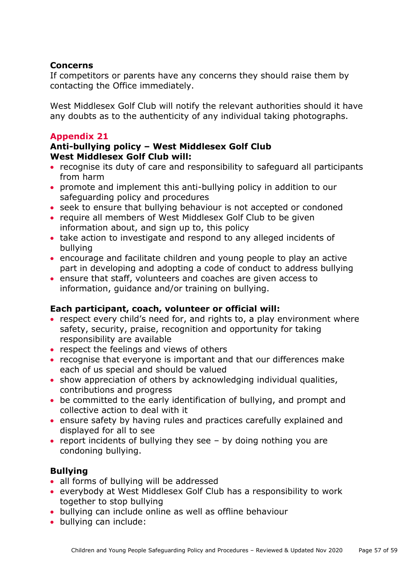#### **Concerns**

If competitors or parents have any concerns they should raise them by contacting the Office immediately.

West Middlesex Golf Club will notify the relevant authorities should it have any doubts as to the authenticity of any individual taking photographs.

#### <span id="page-56-0"></span>**Appendix 21**

#### **Anti-bullying policy – West Middlesex Golf Club West Middlesex Golf Club will:**

- recognise its duty of care and responsibility to safeguard all participants from harm
- promote and implement this anti-bullying policy in addition to our safeguarding policy and procedures
- seek to ensure that bullying behaviour is not accepted or condoned
- require all members of West Middlesex Golf Club to be given information about, and sign up to, this policy
- take action to investigate and respond to any alleged incidents of bullying
- encourage and facilitate children and young people to play an active part in developing and adopting a code of conduct to address bullying
- ensure that staff, volunteers and coaches are given access to information, guidance and/or training on bullying.

#### **Each participant, coach, volunteer or official will:**

- respect every child's need for, and rights to, a play environment where safety, security, praise, recognition and opportunity for taking responsibility are available
- respect the feelings and views of others
- recognise that everyone is important and that our differences make each of us special and should be valued
- show appreciation of others by acknowledging individual qualities, contributions and progress
- be committed to the early identification of bullying, and prompt and collective action to deal with it
- ensure safety by having rules and practices carefully explained and displayed for all to see
- report incidents of bullying they see by doing nothing you are condoning bullying.

#### **Bullying**

- all forms of bullying will be addressed
- everybody at West Middlesex Golf Club has a responsibility to work together to stop bullying
- bullying can include online as well as offline behaviour
- bullying can include: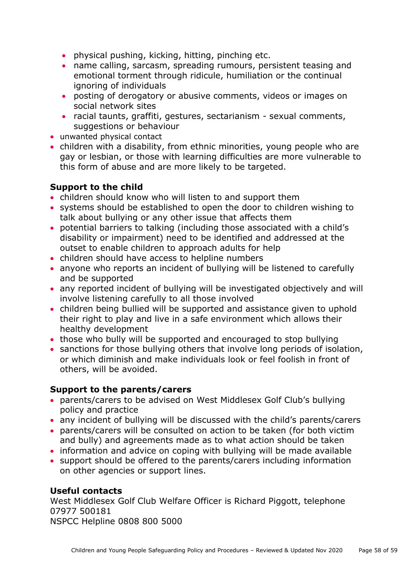- physical pushing, kicking, hitting, pinching etc.
- name calling, sarcasm, spreading rumours, persistent teasing and emotional torment through ridicule, humiliation or the continual ignoring of individuals
- posting of derogatory or abusive comments, videos or images on social network sites
- racial taunts, graffiti, gestures, sectarianism sexual comments, suggestions or behaviour
- unwanted physical contact
- children with a disability, from ethnic minorities, young people who are gay or lesbian, or those with learning difficulties are more vulnerable to this form of abuse and are more likely to be targeted.

# **Support to the child**

- children should know who will listen to and support them
- systems should be established to open the door to children wishing to talk about bullying or any other issue that affects them
- potential barriers to talking (including those associated with a child's disability or impairment) need to be identified and addressed at the outset to enable children to approach adults for help
- children should have access to helpline numbers
- anyone who reports an incident of bullying will be listened to carefully and be supported
- any reported incident of bullying will be investigated objectively and will involve listening carefully to all those involved
- children being bullied will be supported and assistance given to uphold their right to play and live in a safe environment which allows their healthy development
- those who bully will be supported and encouraged to stop bullying
- sanctions for those bullying others that involve long periods of isolation, or which diminish and make individuals look or feel foolish in front of others, will be avoided.

# **Support to the parents/carers**

- parents/carers to be advised on West Middlesex Golf Club's bullying policy and practice
- any incident of bullying will be discussed with the child's parents/carers
- parents/carers will be consulted on action to be taken (for both victim and bully) and agreements made as to what action should be taken
- information and advice on coping with bullying will be made available
- support should be offered to the parents/carers including information on other agencies or support lines.

# **Useful contacts**

West Middlesex Golf Club Welfare Officer is Richard Piggott, telephone 07977 500181 NSPCC Helpline 0808 800 5000